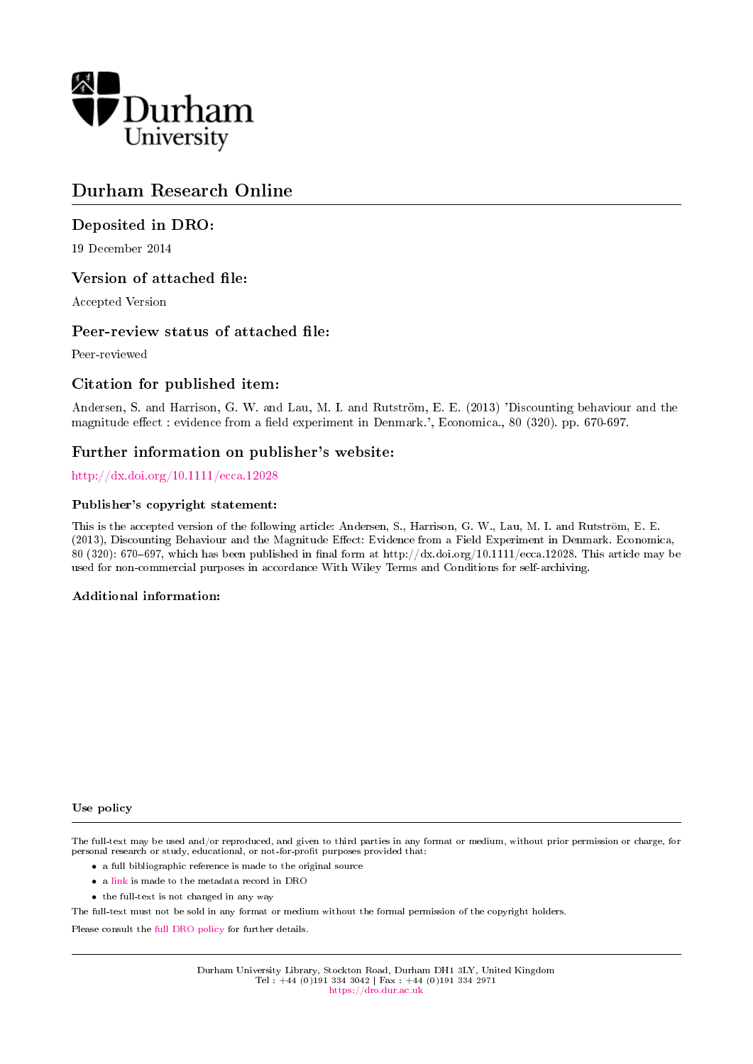

# Durham Research Online

# Deposited in DRO:

19 December 2014

# Version of attached file:

Accepted Version

# Peer-review status of attached file:

Peer-reviewed

# Citation for published item:

Andersen, S. and Harrison, G. W. and Lau, M. I. and Rutström, E. E. (2013) 'Discounting behaviour and the magnitude effect : evidence from a field experiment in Denmark.', Economica., 80 (320). pp. 670-697.

# Further information on publisher's website:

<http://dx.doi.org/10.1111/ecca.12028>

## Publisher's copyright statement:

This is the accepted version of the following article: Andersen, S., Harrison, G. W., Lau, M. I. and Rutström, E. E. (2013), Discounting Behaviour and the Magnitude Effect: Evidence from a Field Experiment in Denmark. Economica, 80 (320): 670-697, which has been published in final form at http://dx.doi.org/10.1111/ecca.12028. This article may be used for non-commercial purposes in accordance With Wiley Terms and Conditions for self-archiving.

# Additional information:

#### Use policy

The full-text may be used and/or reproduced, and given to third parties in any format or medium, without prior permission or charge, for personal research or study, educational, or not-for-profit purposes provided that:

- a full bibliographic reference is made to the original source
- a [link](http://dro.dur.ac.uk/14101/) is made to the metadata record in DRO
- the full-text is not changed in any way

The full-text must not be sold in any format or medium without the formal permission of the copyright holders.

Please consult the [full DRO policy](https://dro.dur.ac.uk/policies/usepolicy.pdf) for further details.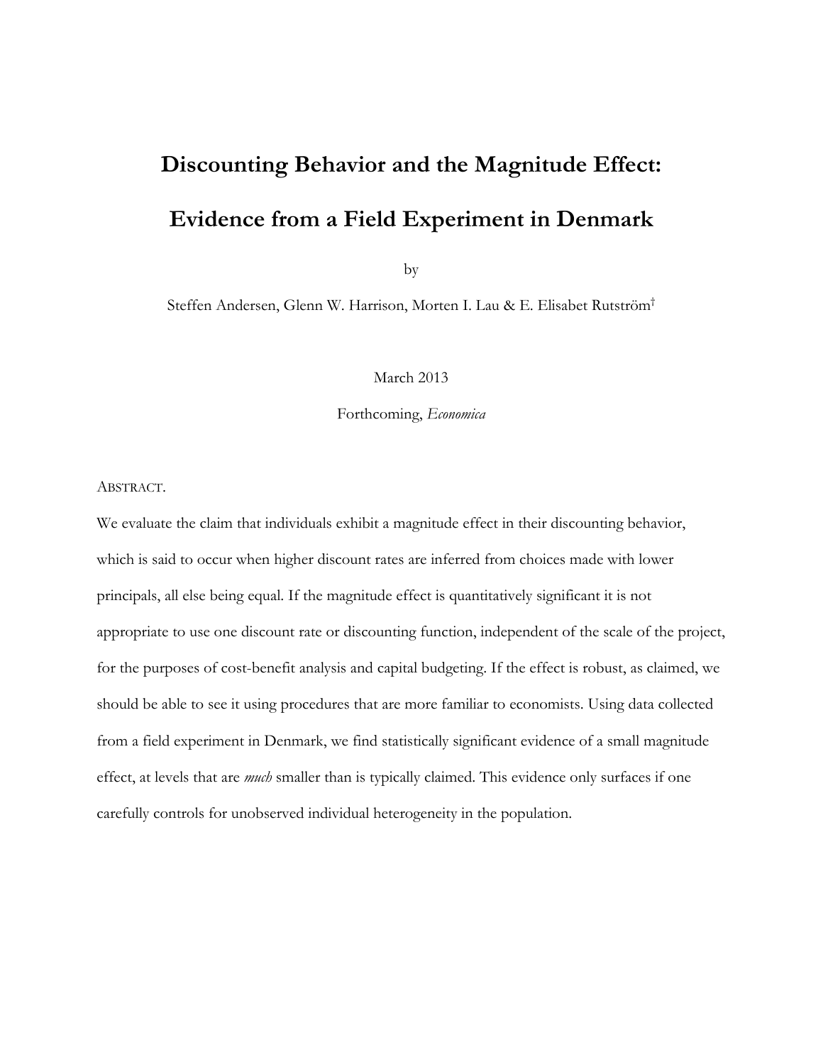# **Discounting Behavior and the Magnitude Effect: Evidence from a Field Experiment in Denmark**

by

Steffen Andersen, Glenn W. Harrison, Morten I. Lau & E. Elisabet Rutström†

March 2013

Forthcoming, *Economica*

ABSTRACT.

We evaluate the claim that individuals exhibit a magnitude effect in their discounting behavior, which is said to occur when higher discount rates are inferred from choices made with lower principals, all else being equal. If the magnitude effect is quantitatively significant it is not appropriate to use one discount rate or discounting function, independent of the scale of the project, for the purposes of cost-benefit analysis and capital budgeting. If the effect is robust, as claimed, we should be able to see it using procedures that are more familiar to economists. Using data collected from a field experiment in Denmark, we find statistically significant evidence of a small magnitude effect, at levels that are *much* smaller than is typically claimed. This evidence only surfaces if one carefully controls for unobserved individual heterogeneity in the population.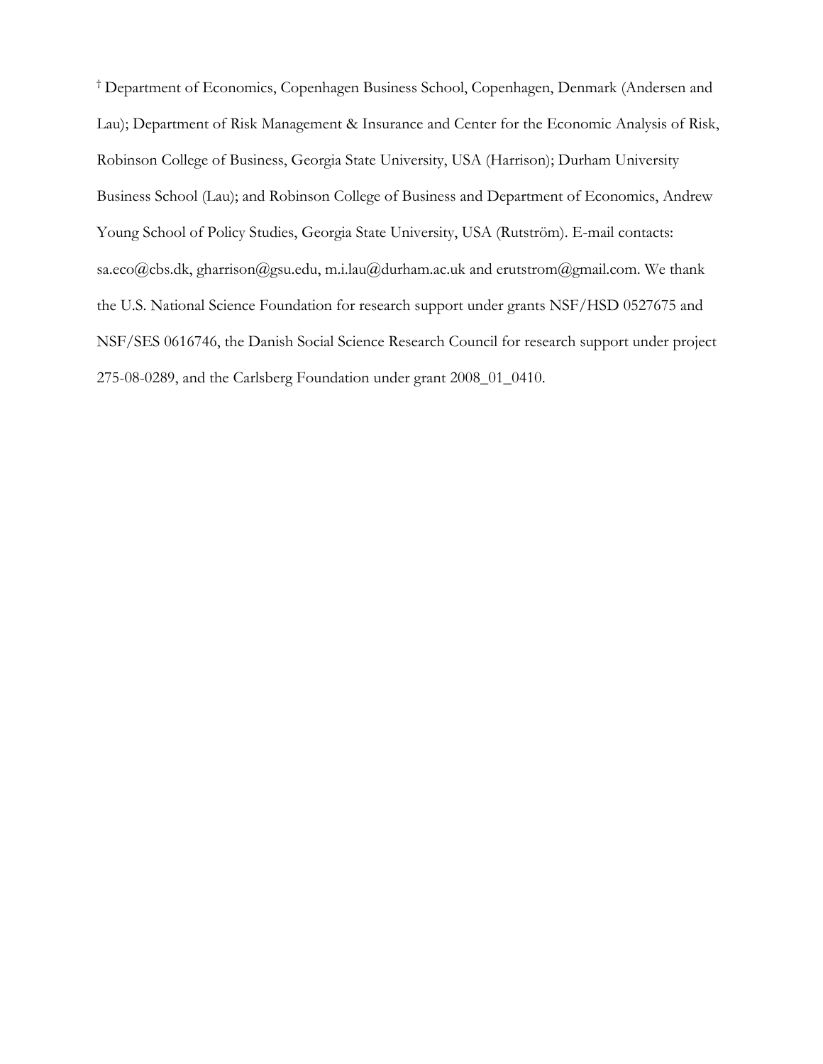† Department of Economics, Copenhagen Business School, Copenhagen, Denmark (Andersen and Lau); Department of Risk Management & Insurance and Center for the Economic Analysis of Risk, Robinson College of Business, Georgia State University, USA (Harrison); Durham University Business School (Lau); and Robinson College of Business and Department of Economics, Andrew Young School of Policy Studies, Georgia State University, USA (Rutström). E-mail contacts: sa.eco@cbs.dk, gharrison@gsu.edu, m.i.lau@durham.ac.uk and erutstrom@gmail.com. We thank the U.S. National Science Foundation for research support under grants NSF/HSD 0527675 and NSF/SES 0616746, the Danish Social Science Research Council for research support under project 275-08-0289, and the Carlsberg Foundation under grant 2008\_01\_0410.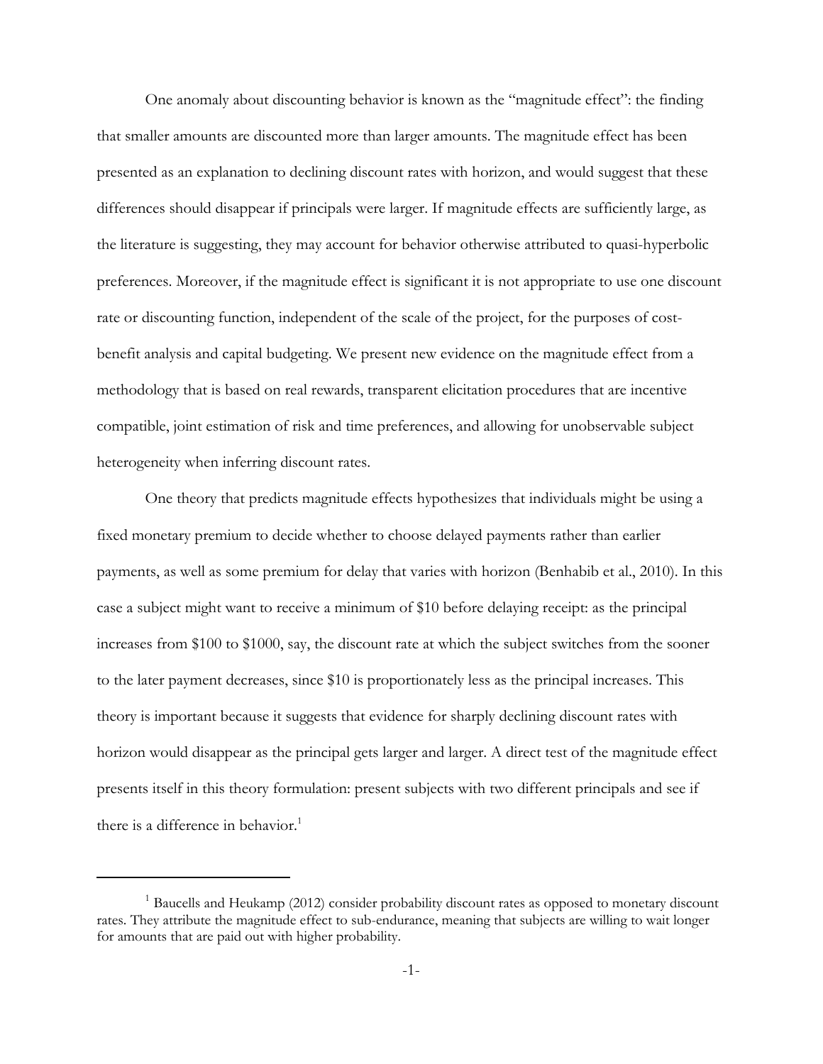One anomaly about discounting behavior is known as the "magnitude effect": the finding that smaller amounts are discounted more than larger amounts. The magnitude effect has been presented as an explanation to declining discount rates with horizon, and would suggest that these differences should disappear if principals were larger. If magnitude effects are sufficiently large, as the literature is suggesting, they may account for behavior otherwise attributed to quasi-hyperbolic preferences. Moreover, if the magnitude effect is significant it is not appropriate to use one discount rate or discounting function, independent of the scale of the project, for the purposes of costbenefit analysis and capital budgeting. We present new evidence on the magnitude effect from a methodology that is based on real rewards, transparent elicitation procedures that are incentive compatible, joint estimation of risk and time preferences, and allowing for unobservable subject heterogeneity when inferring discount rates.

One theory that predicts magnitude effects hypothesizes that individuals might be using a fixed monetary premium to decide whether to choose delayed payments rather than earlier payments, as well as some premium for delay that varies with horizon (Benhabib et al., 2010). In this case a subject might want to receive a minimum of \$10 before delaying receipt: as the principal increases from \$100 to \$1000, say, the discount rate at which the subject switches from the sooner to the later payment decreases, since \$10 is proportionately less as the principal increases. This theory is important because it suggests that evidence for sharply declining discount rates with horizon would disappear as the principal gets larger and larger. A direct test of the magnitude effect presents itself in this theory formulation: present subjects with two different principals and see if there is a difference in behavior.<sup>1</sup>

 $<sup>1</sup>$  Baucells and Heukamp (2012) consider probability discount rates as opposed to monetary discount</sup> rates. They attribute the magnitude effect to sub-endurance, meaning that subjects are willing to wait longer for amounts that are paid out with higher probability.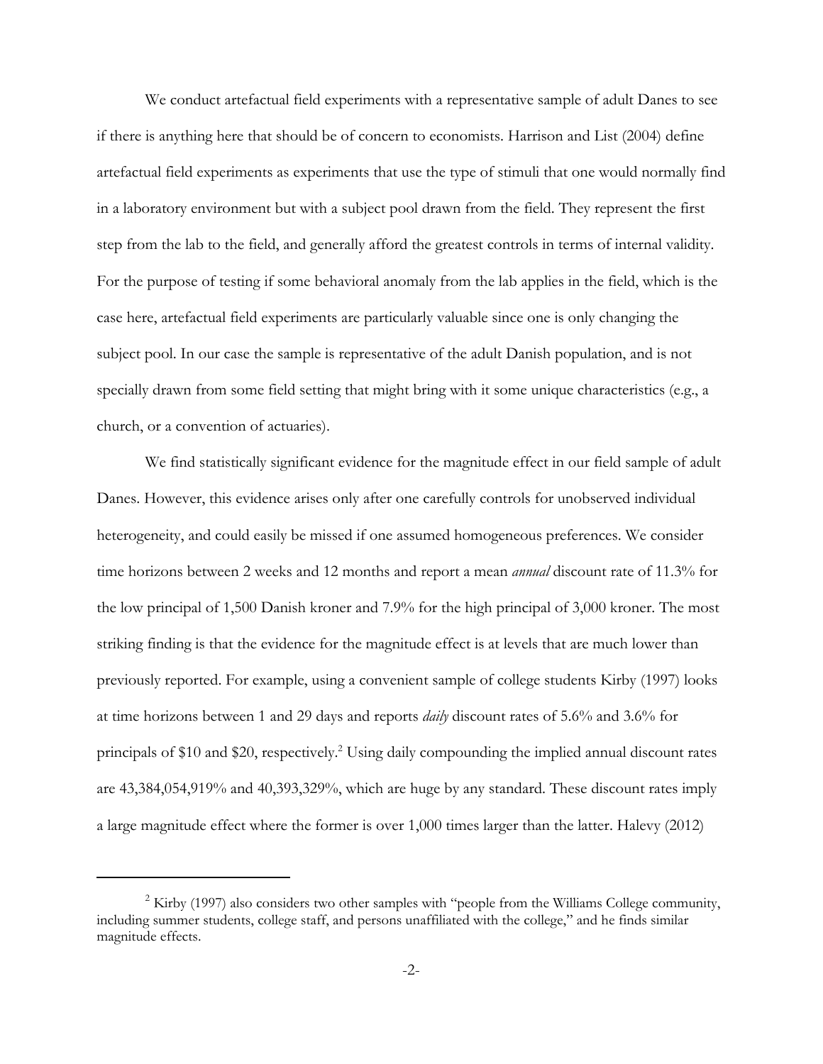We conduct artefactual field experiments with a representative sample of adult Danes to see if there is anything here that should be of concern to economists. Harrison and List (2004) define artefactual field experiments as experiments that use the type of stimuli that one would normally find in a laboratory environment but with a subject pool drawn from the field. They represent the first step from the lab to the field, and generally afford the greatest controls in terms of internal validity. For the purpose of testing if some behavioral anomaly from the lab applies in the field, which is the case here, artefactual field experiments are particularly valuable since one is only changing the subject pool. In our case the sample is representative of the adult Danish population, and is not specially drawn from some field setting that might bring with it some unique characteristics (e.g., a church, or a convention of actuaries).

We find statistically significant evidence for the magnitude effect in our field sample of adult Danes. However, this evidence arises only after one carefully controls for unobserved individual heterogeneity, and could easily be missed if one assumed homogeneous preferences. We consider time horizons between 2 weeks and 12 months and report a mean *annual* discount rate of 11.3% for the low principal of 1,500 Danish kroner and 7.9% for the high principal of 3,000 kroner. The most striking finding is that the evidence for the magnitude effect is at levels that are much lower than previously reported. For example, using a convenient sample of college students Kirby (1997) looks at time horizons between 1 and 29 days and reports *daily* discount rates of 5.6% and 3.6% for principals of \$10 and \$20, respectively.<sup>2</sup> Using daily compounding the implied annual discount rates are 43,384,054,919% and 40,393,329%, which are huge by any standard. These discount rates imply a large magnitude effect where the former is over 1,000 times larger than the latter. Halevy (2012)

<sup>&</sup>lt;sup>2</sup> Kirby (1997) also considers two other samples with "people from the Williams College community, including summer students, college staff, and persons unaffiliated with the college," and he finds similar magnitude effects.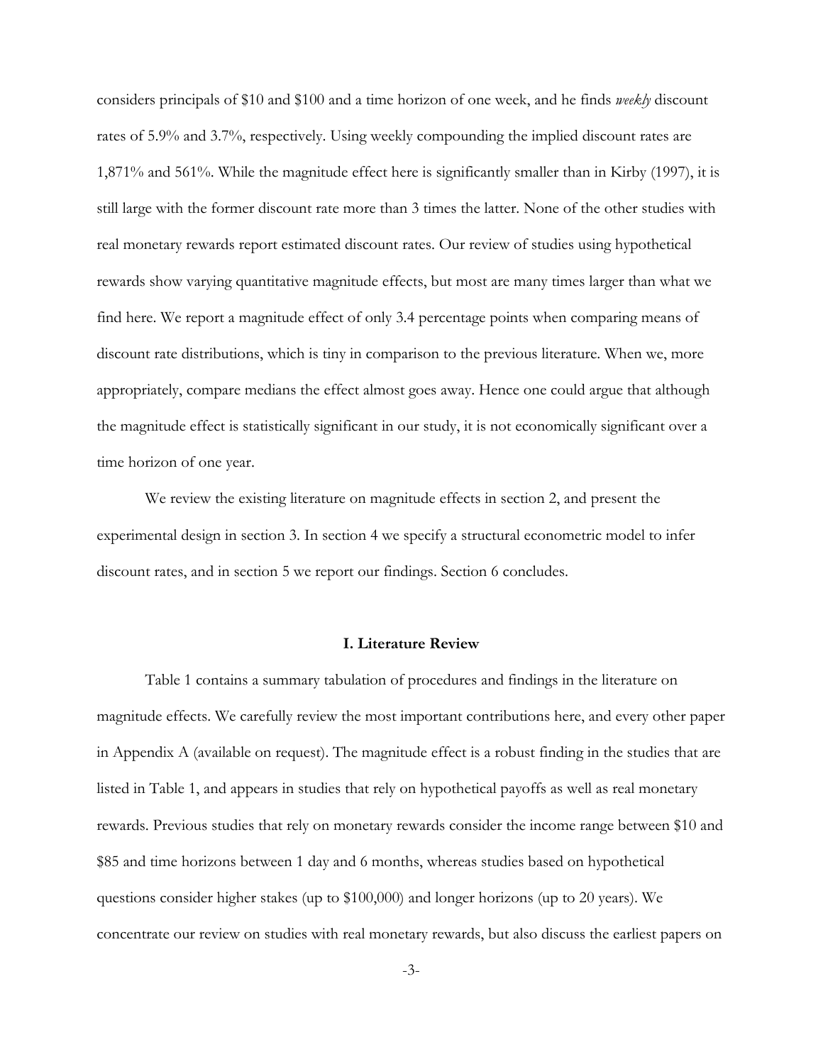considers principals of \$10 and \$100 and a time horizon of one week, and he finds *weekly* discount rates of 5.9% and 3.7%, respectively. Using weekly compounding the implied discount rates are 1,871% and 561%. While the magnitude effect here is significantly smaller than in Kirby (1997), it is still large with the former discount rate more than 3 times the latter. None of the other studies with real monetary rewards report estimated discount rates. Our review of studies using hypothetical rewards show varying quantitative magnitude effects, but most are many times larger than what we find here. We report a magnitude effect of only 3.4 percentage points when comparing means of discount rate distributions, which is tiny in comparison to the previous literature. When we, more appropriately, compare medians the effect almost goes away. Hence one could argue that although the magnitude effect is statistically significant in our study, it is not economically significant over a time horizon of one year.

We review the existing literature on magnitude effects in section 2, and present the experimental design in section 3. In section 4 we specify a structural econometric model to infer discount rates, and in section 5 we report our findings. Section 6 concludes.

#### **I. Literature Review**

Table 1 contains a summary tabulation of procedures and findings in the literature on magnitude effects. We carefully review the most important contributions here, and every other paper in Appendix A (available on request). The magnitude effect is a robust finding in the studies that are listed in Table 1, and appears in studies that rely on hypothetical payoffs as well as real monetary rewards. Previous studies that rely on monetary rewards consider the income range between \$10 and \$85 and time horizons between 1 day and 6 months, whereas studies based on hypothetical questions consider higher stakes (up to \$100,000) and longer horizons (up to 20 years). We concentrate our review on studies with real monetary rewards, but also discuss the earliest papers on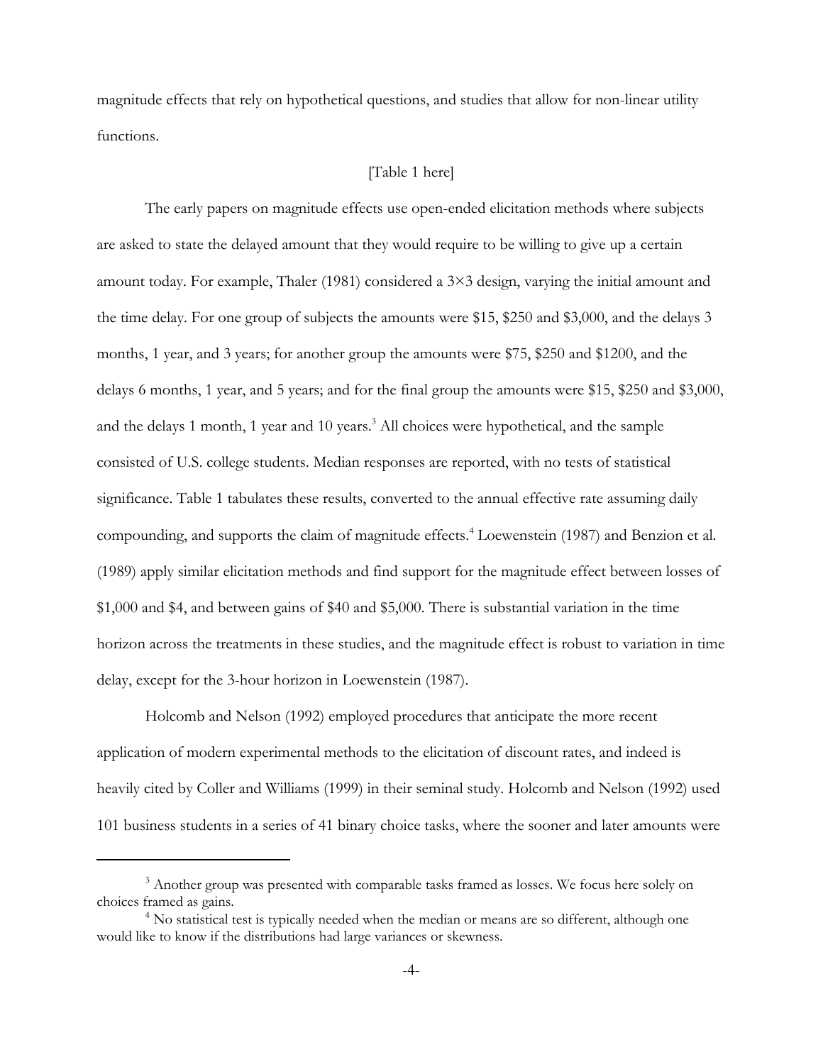magnitude effects that rely on hypothetical questions, and studies that allow for non-linear utility functions.

# [Table 1 here]

The early papers on magnitude effects use open-ended elicitation methods where subjects are asked to state the delayed amount that they would require to be willing to give up a certain amount today. For example, Thaler (1981) considered a 3×3 design, varying the initial amount and the time delay. For one group of subjects the amounts were \$15, \$250 and \$3,000, and the delays 3 months, 1 year, and 3 years; for another group the amounts were \$75, \$250 and \$1200, and the delays 6 months, 1 year, and 5 years; and for the final group the amounts were \$15, \$250 and \$3,000, and the delays 1 month, 1 year and 10 years.<sup>3</sup> All choices were hypothetical, and the sample consisted of U.S. college students. Median responses are reported, with no tests of statistical significance. Table 1 tabulates these results, converted to the annual effective rate assuming daily compounding, and supports the claim of magnitude effects.<sup>4</sup> Loewenstein (1987) and Benzion et al. (1989) apply similar elicitation methods and find support for the magnitude effect between losses of \$1,000 and \$4, and between gains of \$40 and \$5,000. There is substantial variation in the time horizon across the treatments in these studies, and the magnitude effect is robust to variation in time delay, except for the 3-hour horizon in Loewenstein (1987).

Holcomb and Nelson (1992) employed procedures that anticipate the more recent application of modern experimental methods to the elicitation of discount rates, and indeed is heavily cited by Coller and Williams (1999) in their seminal study. Holcomb and Nelson (1992) used 101 business students in a series of 41 binary choice tasks, where the sooner and later amounts were

<sup>&</sup>lt;sup>3</sup> Another group was presented with comparable tasks framed as losses. We focus here solely on choices framed as gains.

<sup>&</sup>lt;sup>4</sup> No statistical test is typically needed when the median or means are so different, although one would like to know if the distributions had large variances or skewness.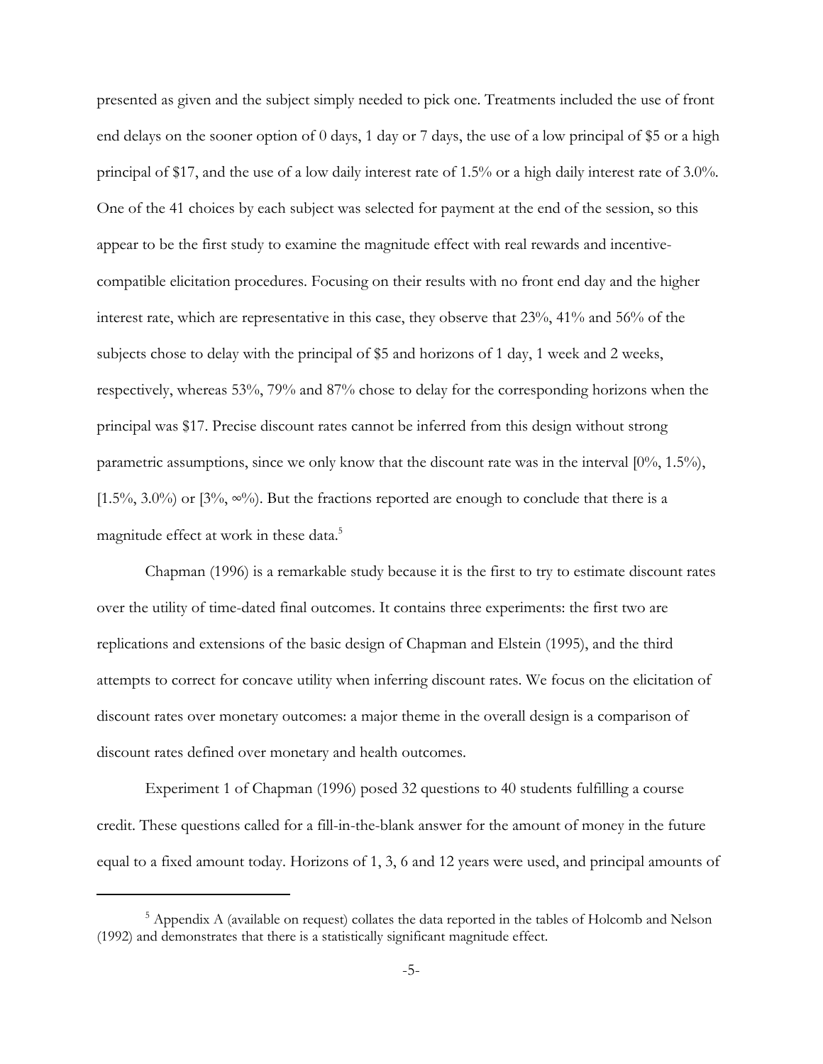presented as given and the subject simply needed to pick one. Treatments included the use of front end delays on the sooner option of 0 days, 1 day or 7 days, the use of a low principal of \$5 or a high principal of \$17, and the use of a low daily interest rate of 1.5% or a high daily interest rate of 3.0%. One of the 41 choices by each subject was selected for payment at the end of the session, so this appear to be the first study to examine the magnitude effect with real rewards and incentivecompatible elicitation procedures. Focusing on their results with no front end day and the higher interest rate, which are representative in this case, they observe that 23%, 41% and 56% of the subjects chose to delay with the principal of \$5 and horizons of 1 day, 1 week and 2 weeks, respectively, whereas 53%, 79% and 87% chose to delay for the corresponding horizons when the principal was \$17. Precise discount rates cannot be inferred from this design without strong parametric assumptions, since we only know that the discount rate was in the interval  $[0\%, 1.5\%]$ ,  $[1.5\%, 3.0\%]$  or  $[3\%, \infty\%)$ . But the fractions reported are enough to conclude that there is a magnitude effect at work in these data.<sup>5</sup>

Chapman (1996) is a remarkable study because it is the first to try to estimate discount rates over the utility of time-dated final outcomes. It contains three experiments: the first two are replications and extensions of the basic design of Chapman and Elstein (1995), and the third attempts to correct for concave utility when inferring discount rates. We focus on the elicitation of discount rates over monetary outcomes: a major theme in the overall design is a comparison of discount rates defined over monetary and health outcomes.

Experiment 1 of Chapman (1996) posed 32 questions to 40 students fulfilling a course credit. These questions called for a fill-in-the-blank answer for the amount of money in the future equal to a fixed amount today. Horizons of 1, 3, 6 and 12 years were used, and principal amounts of

 $<sup>5</sup>$  Appendix A (available on request) collates the data reported in the tables of Holcomb and Nelson</sup> (1992) and demonstrates that there is a statistically significant magnitude effect.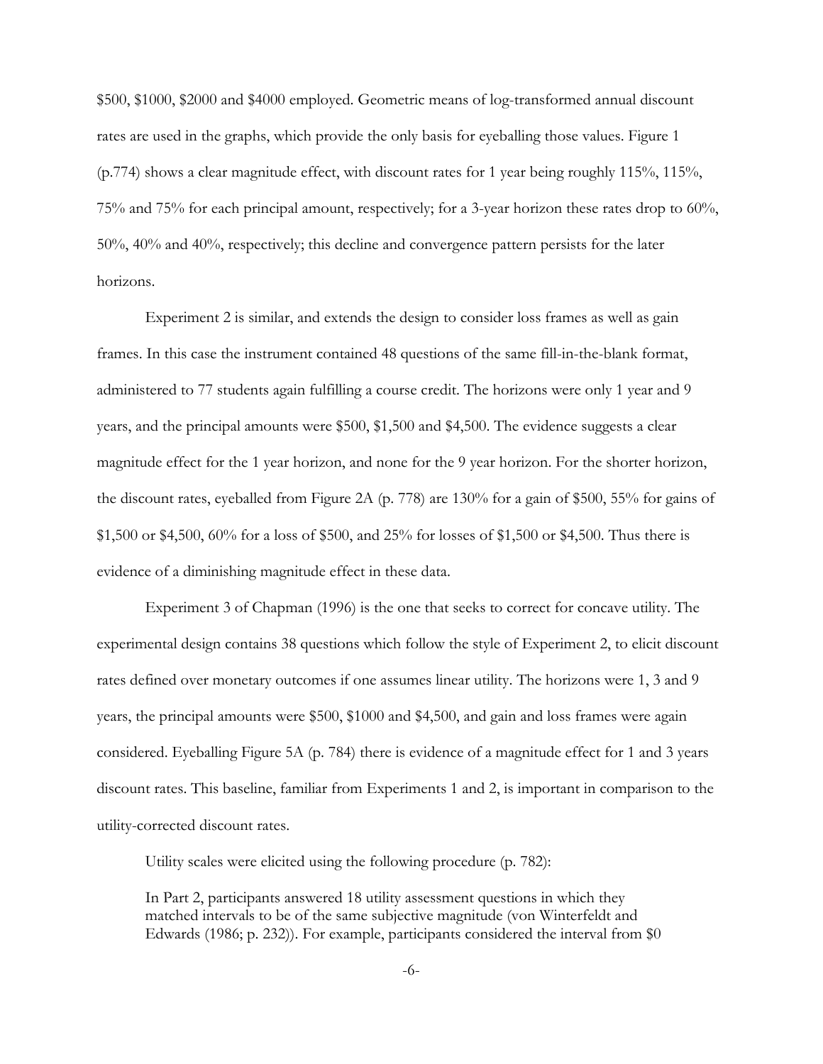\$500, \$1000, \$2000 and \$4000 employed. Geometric means of log-transformed annual discount rates are used in the graphs, which provide the only basis for eyeballing those values. Figure 1 (p.774) shows a clear magnitude effect, with discount rates for 1 year being roughly 115%, 115%, 75% and 75% for each principal amount, respectively; for a 3-year horizon these rates drop to 60%, 50%, 40% and 40%, respectively; this decline and convergence pattern persists for the later horizons.

Experiment 2 is similar, and extends the design to consider loss frames as well as gain frames. In this case the instrument contained 48 questions of the same fill-in-the-blank format, administered to 77 students again fulfilling a course credit. The horizons were only 1 year and 9 years, and the principal amounts were \$500, \$1,500 and \$4,500. The evidence suggests a clear magnitude effect for the 1 year horizon, and none for the 9 year horizon. For the shorter horizon, the discount rates, eyeballed from Figure 2A (p. 778) are 130% for a gain of \$500, 55% for gains of \$1,500 or \$4,500, 60% for a loss of \$500, and 25% for losses of \$1,500 or \$4,500. Thus there is evidence of a diminishing magnitude effect in these data.

Experiment 3 of Chapman (1996) is the one that seeks to correct for concave utility. The experimental design contains 38 questions which follow the style of Experiment 2, to elicit discount rates defined over monetary outcomes if one assumes linear utility. The horizons were 1, 3 and 9 years, the principal amounts were \$500, \$1000 and \$4,500, and gain and loss frames were again considered. Eyeballing Figure 5A (p. 784) there is evidence of a magnitude effect for 1 and 3 years discount rates. This baseline, familiar from Experiments 1 and 2, is important in comparison to the utility-corrected discount rates.

Utility scales were elicited using the following procedure (p. 782):

In Part 2, participants answered 18 utility assessment questions in which they matched intervals to be of the same subjective magnitude (von Winterfeldt and Edwards (1986; p. 232)). For example, participants considered the interval from \$0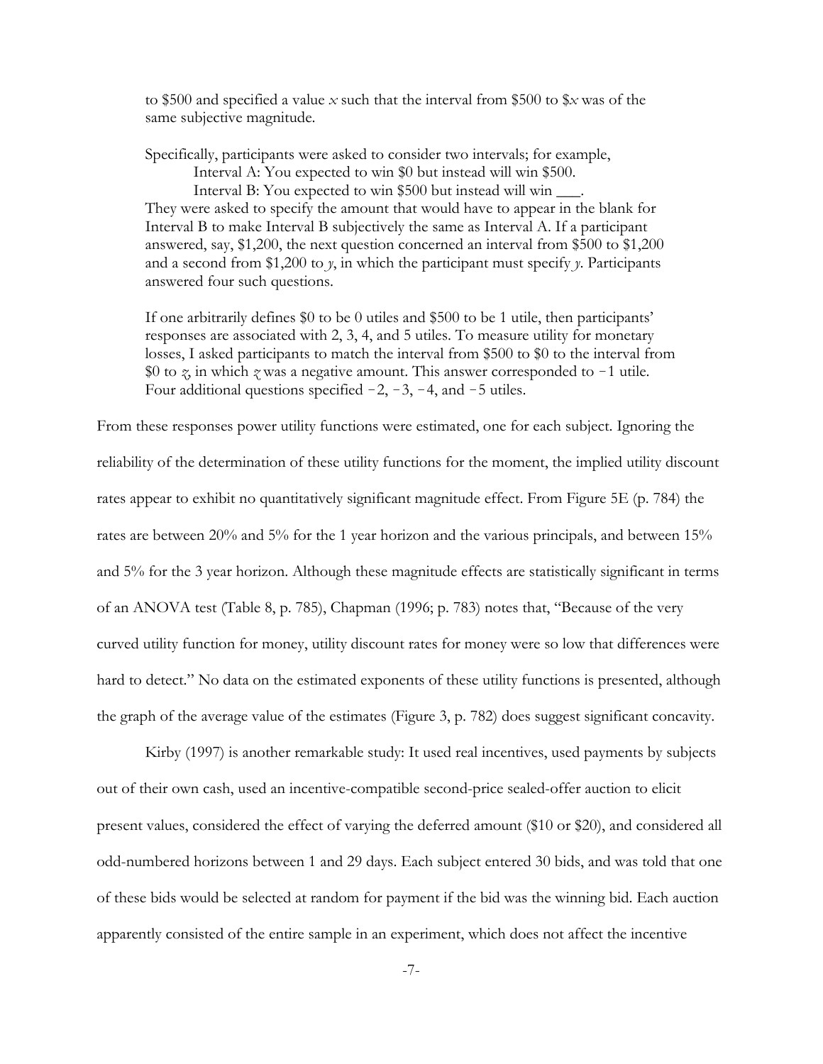to \$500 and specified a value *x* such that the interval from \$500 to \$*x* was of the same subjective magnitude.

Specifically, participants were asked to consider two intervals; for example, Interval A: You expected to win \$0 but instead will win \$500. Interval B: You expected to win \$500 but instead will win \_\_\_. They were asked to specify the amount that would have to appear in the blank for Interval B to make Interval B subjectively the same as Interval A. If a participant answered, say, \$1,200, the next question concerned an interval from \$500 to \$1,200 and a second from \$1,200 to *y*, in which the participant must specify *y*. Participants answered four such questions.

If one arbitrarily defines \$0 to be 0 utiles and \$500 to be 1 utile, then participants' responses are associated with 2, 3, 4, and 5 utiles. To measure utility for monetary losses, I asked participants to match the interval from \$500 to \$0 to the interval from \$0 to  $\alpha$ , in which  $\gamma$  was a negative amount. This answer corresponded to  $-1$  utile. Four additional questions specified  $-2$ ,  $-3$ ,  $-4$ , and  $-5$  utiles.

From these responses power utility functions were estimated, one for each subject. Ignoring the reliability of the determination of these utility functions for the moment, the implied utility discount rates appear to exhibit no quantitatively significant magnitude effect. From Figure 5E (p. 784) the rates are between 20% and 5% for the 1 year horizon and the various principals, and between 15% and 5% for the 3 year horizon. Although these magnitude effects are statistically significant in terms of an ANOVA test (Table 8, p. 785), Chapman (1996; p. 783) notes that, "Because of the very curved utility function for money, utility discount rates for money were so low that differences were hard to detect." No data on the estimated exponents of these utility functions is presented, although the graph of the average value of the estimates (Figure 3, p. 782) does suggest significant concavity.

Kirby (1997) is another remarkable study: It used real incentives, used payments by subjects out of their own cash, used an incentive-compatible second-price sealed-offer auction to elicit present values, considered the effect of varying the deferred amount (\$10 or \$20), and considered all odd-numbered horizons between 1 and 29 days. Each subject entered 30 bids, and was told that one of these bids would be selected at random for payment if the bid was the winning bid. Each auction apparently consisted of the entire sample in an experiment, which does not affect the incentive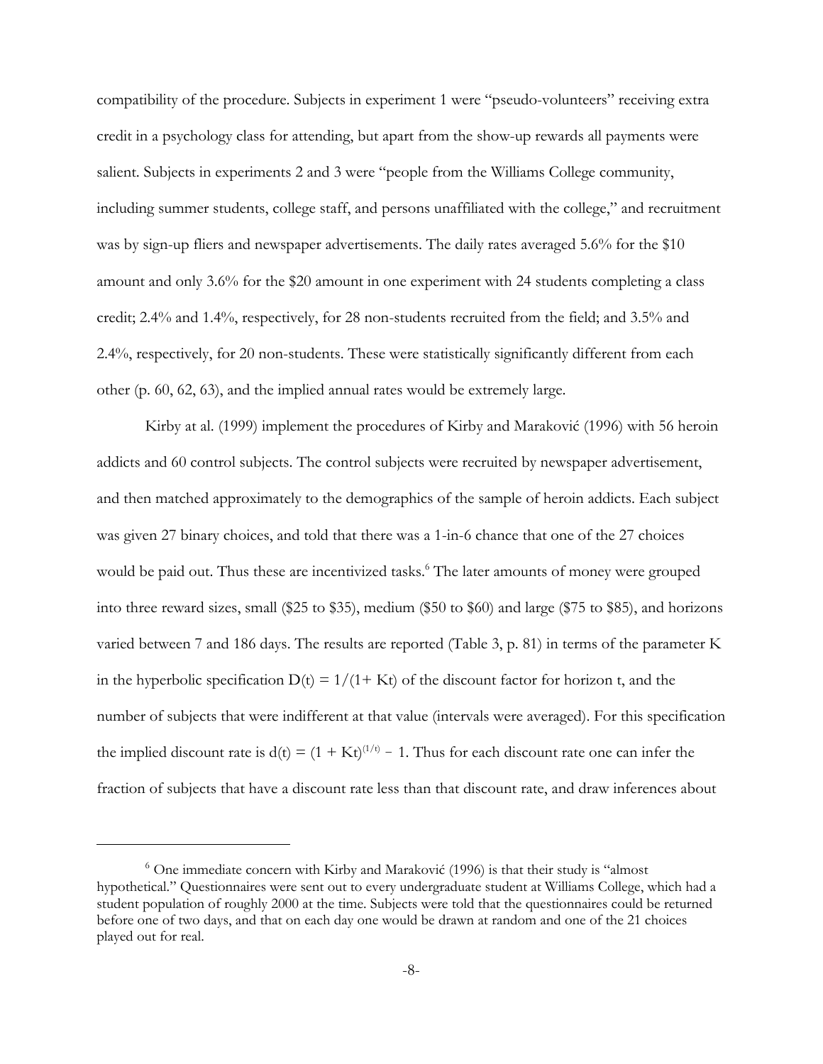compatibility of the procedure. Subjects in experiment 1 were "pseudo-volunteers" receiving extra credit in a psychology class for attending, but apart from the show-up rewards all payments were salient. Subjects in experiments 2 and 3 were "people from the Williams College community, including summer students, college staff, and persons unaffiliated with the college," and recruitment was by sign-up fliers and newspaper advertisements. The daily rates averaged 5.6% for the \$10 amount and only 3.6% for the \$20 amount in one experiment with 24 students completing a class credit; 2.4% and 1.4%, respectively, for 28 non-students recruited from the field; and 3.5% and 2.4%, respectively, for 20 non-students. These were statistically significantly different from each other (p. 60, 62, 63), and the implied annual rates would be extremely large.

Kirby at al. (1999) implement the procedures of Kirby and Maraković (1996) with 56 heroin addicts and 60 control subjects. The control subjects were recruited by newspaper advertisement, and then matched approximately to the demographics of the sample of heroin addicts. Each subject was given 27 binary choices, and told that there was a 1-in-6 chance that one of the 27 choices would be paid out. Thus these are incentivized tasks.<sup>6</sup> The later amounts of money were grouped into three reward sizes, small (\$25 to \$35), medium (\$50 to \$60) and large (\$75 to \$85), and horizons varied between 7 and 186 days. The results are reported (Table 3, p. 81) in terms of the parameter K in the hyperbolic specification  $D(t) = 1/(1 + Kt)$  of the discount factor for horizon t, and the number of subjects that were indifferent at that value (intervals were averaged). For this specification the implied discount rate is  $d(t) = (1 + Kt)^{(1/t)} - 1$ . Thus for each discount rate one can infer the fraction of subjects that have a discount rate less than that discount rate, and draw inferences about

 $6$  One immediate concern with Kirby and Maraković (1996) is that their study is "almost hypothetical." Questionnaires were sent out to every undergraduate student at Williams College, which had a student population of roughly 2000 at the time. Subjects were told that the questionnaires could be returned before one of two days, and that on each day one would be drawn at random and one of the 21 choices played out for real.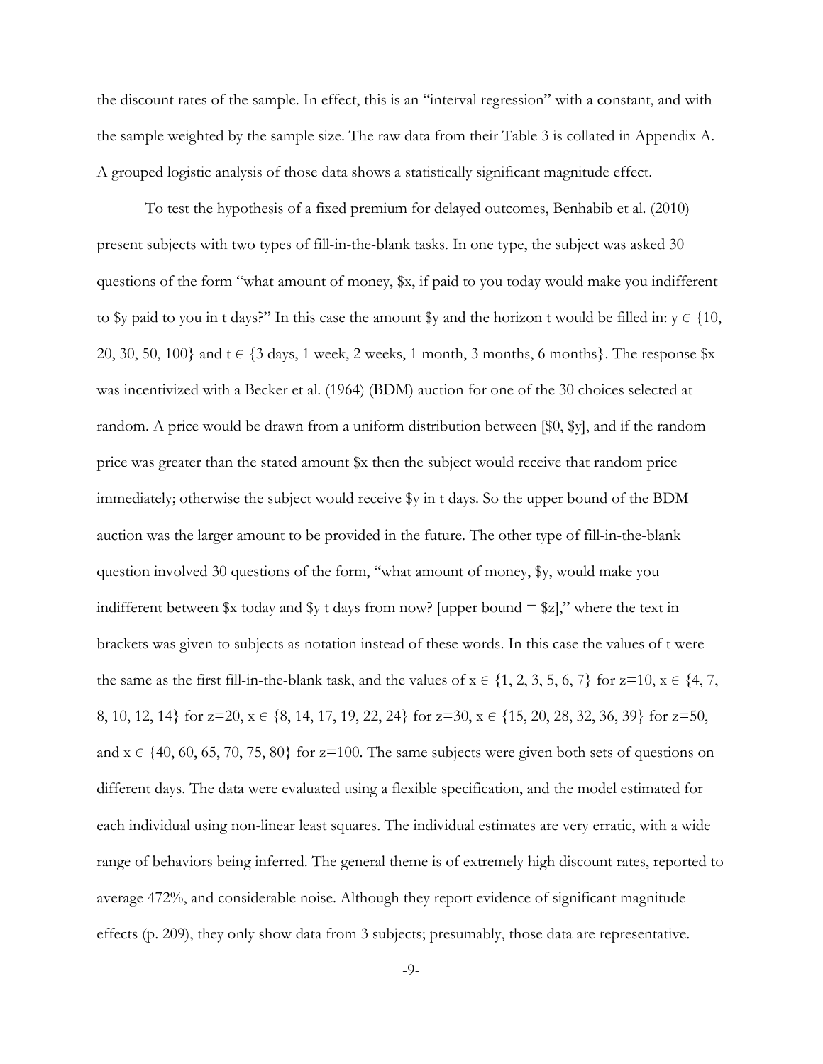the discount rates of the sample. In effect, this is an "interval regression" with a constant, and with the sample weighted by the sample size. The raw data from their Table 3 is collated in Appendix A. A grouped logistic analysis of those data shows a statistically significant magnitude effect.

To test the hypothesis of a fixed premium for delayed outcomes, Benhabib et al. (2010) present subjects with two types of fill-in-the-blank tasks. In one type, the subject was asked 30 questions of the form "what amount of money, \$x, if paid to you today would make you indifferent to \$y paid to you in t days?" In this case the amount \$y and the horizon t would be filled in:  $y \in \{10,$ 20, 30, 50, 100} and  $t \in \{3 \text{ days}, 1 \text{ week}, 2 \text{ weeks}, 1 \text{ month}, 3 \text{ months}, 6 \text{ months}\}$ . The response  $x$ was incentivized with a Becker et al. (1964) (BDM) auction for one of the 30 choices selected at random. A price would be drawn from a uniform distribution between [\$0, \$y], and if the random price was greater than the stated amount \$x then the subject would receive that random price immediately; otherwise the subject would receive \$y in t days. So the upper bound of the BDM auction was the larger amount to be provided in the future. The other type of fill-in-the-blank question involved 30 questions of the form, "what amount of money, \$y, would make you indifferent between  $x \cdot y$  today and  $y \cdot z$  from now? [upper bound =  $z$ ]," where the text in brackets was given to subjects as notation instead of these words. In this case the values of t were the same as the first fill-in-the-blank task, and the values of  $x \in \{1, 2, 3, 5, 6, 7\}$  for  $z=10$ ,  $x \in \{4, 7, 7\}$ 8, 10, 12, 14} for  $z=20$ ,  $x \in \{8, 14, 17, 19, 22, 24\}$  for  $z=30$ ,  $x \in \{15, 20, 28, 32, 36, 39\}$  for  $z=50$ , and  $x \in \{40, 60, 65, 70, 75, 80\}$  for  $z=100$ . The same subjects were given both sets of questions on different days. The data were evaluated using a flexible specification, and the model estimated for each individual using non-linear least squares. The individual estimates are very erratic, with a wide range of behaviors being inferred. The general theme is of extremely high discount rates, reported to average 472%, and considerable noise. Although they report evidence of significant magnitude effects (p. 209), they only show data from 3 subjects; presumably, those data are representative.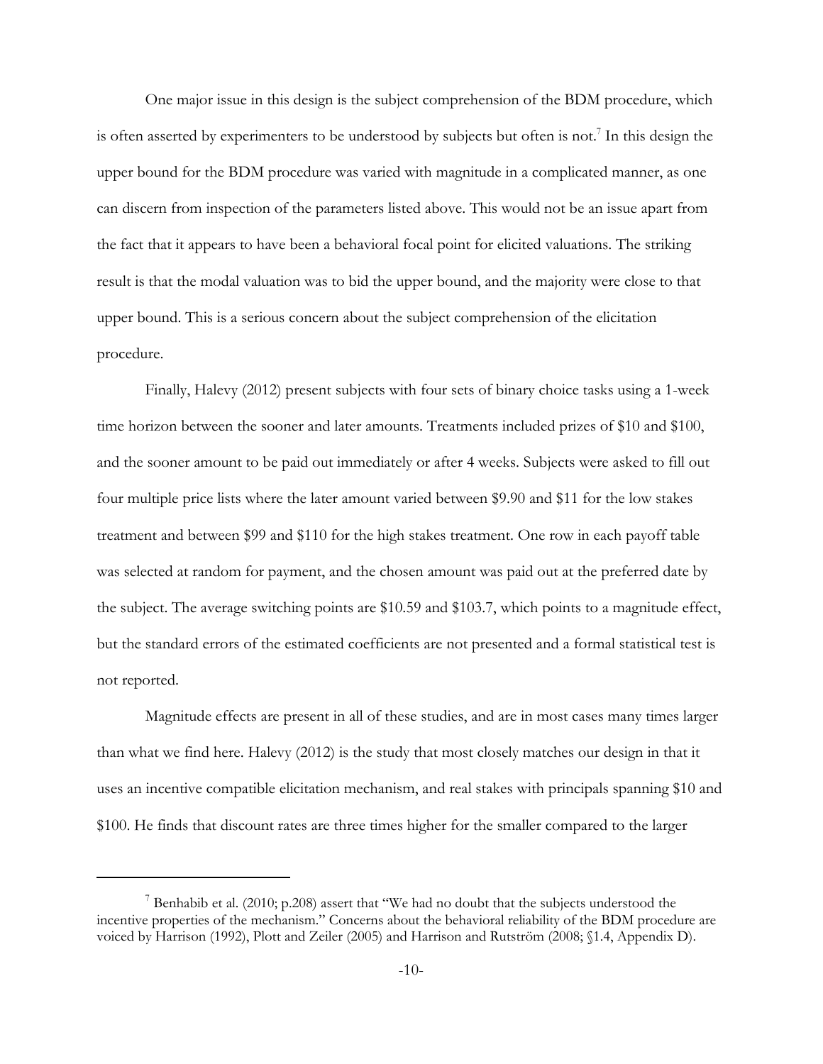One major issue in this design is the subject comprehension of the BDM procedure, which is often asserted by experimenters to be understood by subjects but often is not.<sup>7</sup> In this design the upper bound for the BDM procedure was varied with magnitude in a complicated manner, as one can discern from inspection of the parameters listed above. This would not be an issue apart from the fact that it appears to have been a behavioral focal point for elicited valuations. The striking result is that the modal valuation was to bid the upper bound, and the majority were close to that upper bound. This is a serious concern about the subject comprehension of the elicitation procedure.

Finally, Halevy (2012) present subjects with four sets of binary choice tasks using a 1-week time horizon between the sooner and later amounts. Treatments included prizes of \$10 and \$100, and the sooner amount to be paid out immediately or after 4 weeks. Subjects were asked to fill out four multiple price lists where the later amount varied between \$9.90 and \$11 for the low stakes treatment and between \$99 and \$110 for the high stakes treatment. One row in each payoff table was selected at random for payment, and the chosen amount was paid out at the preferred date by the subject. The average switching points are \$10.59 and \$103.7, which points to a magnitude effect, but the standard errors of the estimated coefficients are not presented and a formal statistical test is not reported.

Magnitude effects are present in all of these studies, and are in most cases many times larger than what we find here. Halevy (2012) is the study that most closely matches our design in that it uses an incentive compatible elicitation mechanism, and real stakes with principals spanning \$10 and \$100. He finds that discount rates are three times higher for the smaller compared to the larger

<sup>&</sup>lt;sup>7</sup> Benhabib et al. (2010; p.208) assert that "We had no doubt that the subjects understood the incentive properties of the mechanism." Concerns about the behavioral reliability of the BDM procedure are voiced by Harrison (1992), Plott and Zeiler (2005) and Harrison and Rutström (2008; §1.4, Appendix D).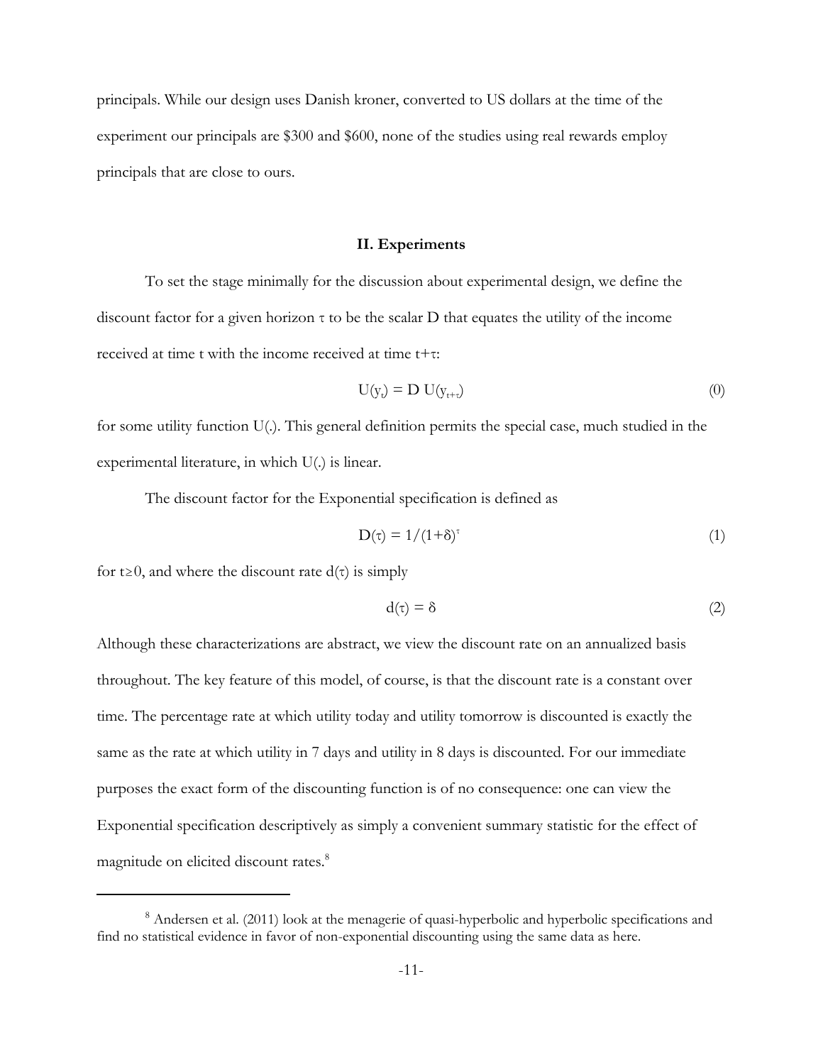principals. While our design uses Danish kroner, converted to US dollars at the time of the experiment our principals are \$300 and \$600, none of the studies using real rewards employ principals that are close to ours.

#### **II. Experiments**

To set the stage minimally for the discussion about experimental design, we define the discount factor for a given horizon  $\tau$  to be the scalar D that equates the utility of the income received at time t with the income received at time t+τ:

$$
U(y_t) = D U(y_{t+\tau})
$$
\n(0)

for some utility function U(.). This general definition permits the special case, much studied in the experimental literature, in which U(.) is linear.

The discount factor for the Exponential specification is defined as

$$
D(\tau) = 1/(1+\delta)^{\tau}
$$
 (1)

for t\{\pi 0.0} (1), and where the discount rate d(τ) is simply

$$
d(\tau) = \delta \tag{2}
$$

Although these characterizations are abstract, we view the discount rate on an annualized basis throughout. The key feature of this model, of course, is that the discount rate is a constant over time. The percentage rate at which utility today and utility tomorrow is discounted is exactly the same as the rate at which utility in 7 days and utility in 8 days is discounted. For our immediate purposes the exact form of the discounting function is of no consequence: one can view the Exponential specification descriptively as simply a convenient summary statistic for the effect of magnitude on elicited discount rates.<sup>8</sup>

<sup>&</sup>lt;sup>8</sup> Andersen et al. (2011) look at the menagerie of quasi-hyperbolic and hyperbolic specifications and find no statistical evidence in favor of non-exponential discounting using the same data as here.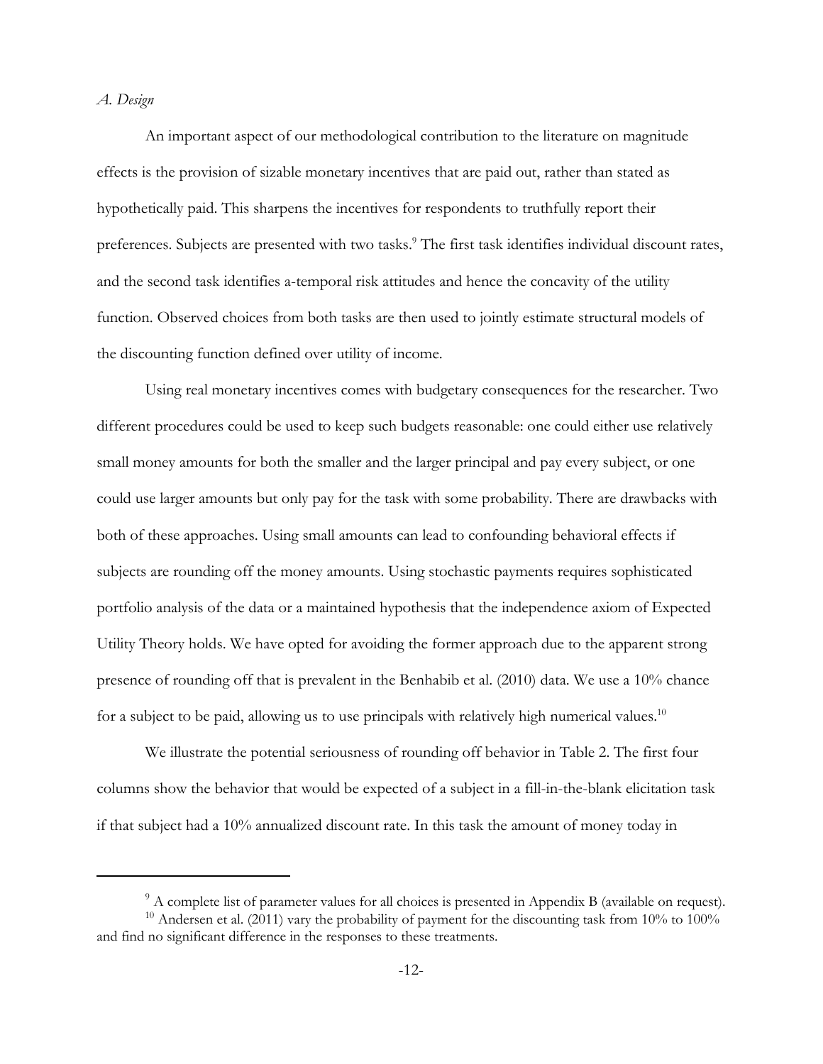# *A. Design*

An important aspect of our methodological contribution to the literature on magnitude effects is the provision of sizable monetary incentives that are paid out, rather than stated as hypothetically paid. This sharpens the incentives for respondents to truthfully report their preferences. Subjects are presented with two tasks.<sup>9</sup> The first task identifies individual discount rates, and the second task identifies a-temporal risk attitudes and hence the concavity of the utility function. Observed choices from both tasks are then used to jointly estimate structural models of the discounting function defined over utility of income.

Using real monetary incentives comes with budgetary consequences for the researcher. Two different procedures could be used to keep such budgets reasonable: one could either use relatively small money amounts for both the smaller and the larger principal and pay every subject, or one could use larger amounts but only pay for the task with some probability. There are drawbacks with both of these approaches. Using small amounts can lead to confounding behavioral effects if subjects are rounding off the money amounts. Using stochastic payments requires sophisticated portfolio analysis of the data or a maintained hypothesis that the independence axiom of Expected Utility Theory holds. We have opted for avoiding the former approach due to the apparent strong presence of rounding off that is prevalent in the Benhabib et al. (2010) data. We use a 10% chance for a subject to be paid, allowing us to use principals with relatively high numerical values.<sup>10</sup>

We illustrate the potential seriousness of rounding off behavior in Table 2. The first four columns show the behavior that would be expected of a subject in a fill-in-the-blank elicitation task if that subject had a 10% annualized discount rate. In this task the amount of money today in

 $9<sup>9</sup>$  A complete list of parameter values for all choices is presented in Appendix B (available on request).  $10$  Andersen et al. (2011) vary the probability of payment for the discounting task from 10% to 100%

and find no significant difference in the responses to these treatments.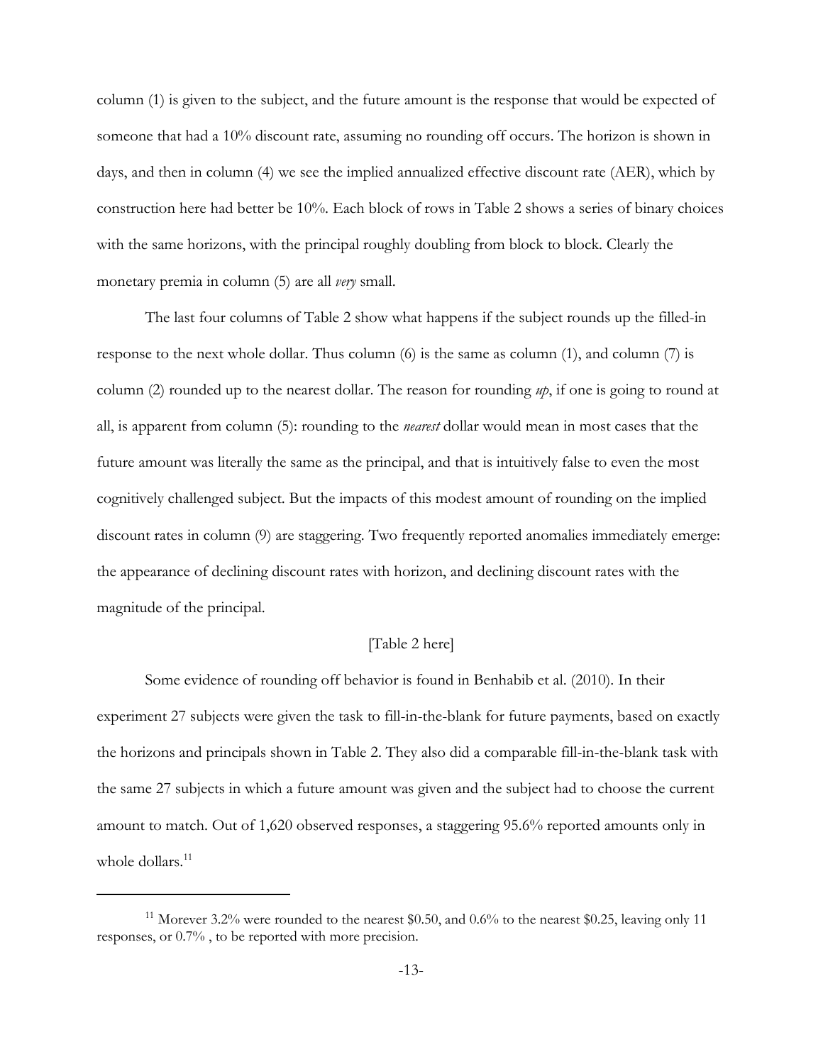column (1) is given to the subject, and the future amount is the response that would be expected of someone that had a 10% discount rate, assuming no rounding off occurs. The horizon is shown in days, and then in column (4) we see the implied annualized effective discount rate (AER), which by construction here had better be 10%. Each block of rows in Table 2 shows a series of binary choices with the same horizons, with the principal roughly doubling from block to block. Clearly the monetary premia in column (5) are all *very* small.

The last four columns of Table 2 show what happens if the subject rounds up the filled-in response to the next whole dollar. Thus column (6) is the same as column (1), and column (7) is column (2) rounded up to the nearest dollar. The reason for rounding *up*, if one is going to round at all, is apparent from column (5): rounding to the *nearest* dollar would mean in most cases that the future amount was literally the same as the principal, and that is intuitively false to even the most cognitively challenged subject. But the impacts of this modest amount of rounding on the implied discount rates in column (9) are staggering. Two frequently reported anomalies immediately emerge: the appearance of declining discount rates with horizon, and declining discount rates with the magnitude of the principal.

# [Table 2 here]

Some evidence of rounding off behavior is found in Benhabib et al. (2010). In their experiment 27 subjects were given the task to fill-in-the-blank for future payments, based on exactly the horizons and principals shown in Table 2. They also did a comparable fill-in-the-blank task with the same 27 subjects in which a future amount was given and the subject had to choose the current amount to match. Out of 1,620 observed responses, a staggering 95.6% reported amounts only in whole dollars. $11$ 

<sup>&</sup>lt;sup>11</sup> Morever 3.2% were rounded to the nearest \$0.50, and  $0.6\%$  to the nearest \$0.25, leaving only 11 responses, or 0.7% , to be reported with more precision.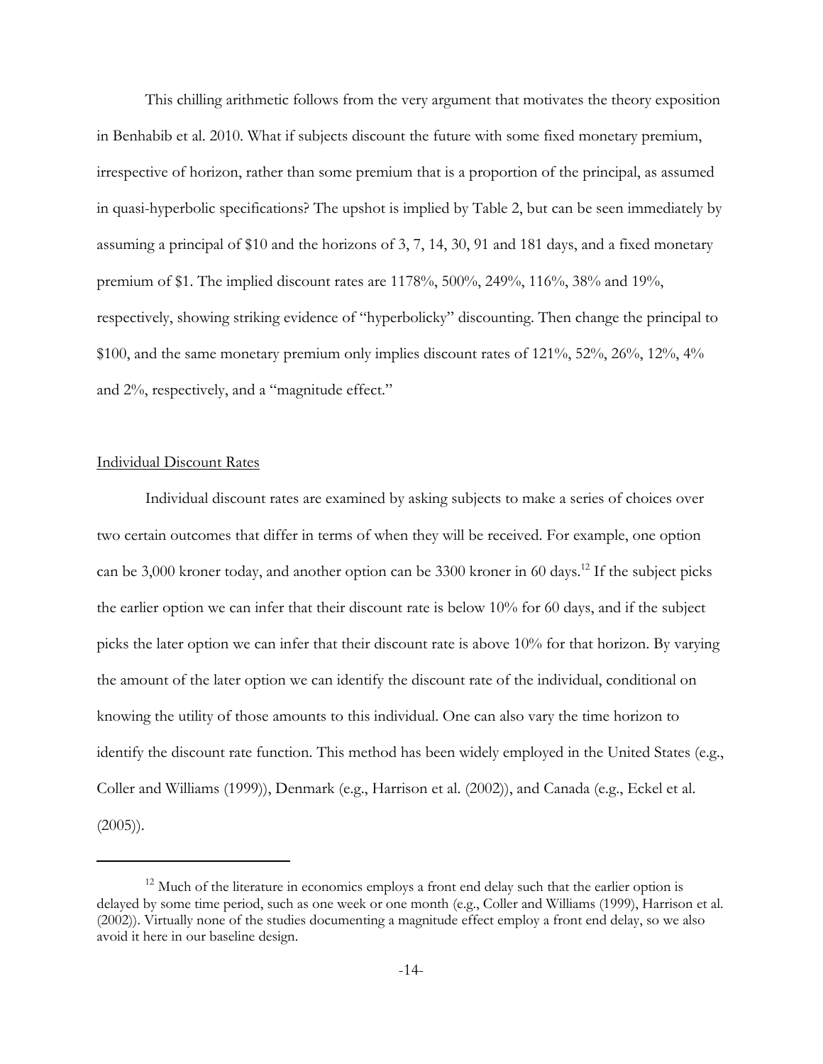This chilling arithmetic follows from the very argument that motivates the theory exposition in Benhabib et al. 2010. What if subjects discount the future with some fixed monetary premium, irrespective of horizon, rather than some premium that is a proportion of the principal, as assumed in quasi-hyperbolic specifications? The upshot is implied by Table 2, but can be seen immediately by assuming a principal of \$10 and the horizons of 3, 7, 14, 30, 91 and 181 days, and a fixed monetary premium of \$1. The implied discount rates are 1178%, 500%, 249%, 116%, 38% and 19%, respectively, showing striking evidence of "hyperbolicky" discounting. Then change the principal to \$100, and the same monetary premium only implies discount rates of 121%, 52%, 26%, 12%, 4% and 2%, respectively, and a "magnitude effect."

#### Individual Discount Rates

Individual discount rates are examined by asking subjects to make a series of choices over two certain outcomes that differ in terms of when they will be received. For example, one option can be 3,000 kroner today, and another option can be 3300 kroner in 60 days.<sup>12</sup> If the subject picks the earlier option we can infer that their discount rate is below 10% for 60 days, and if the subject picks the later option we can infer that their discount rate is above 10% for that horizon. By varying the amount of the later option we can identify the discount rate of the individual, conditional on knowing the utility of those amounts to this individual. One can also vary the time horizon to identify the discount rate function. This method has been widely employed in the United States (e.g., Coller and Williams (1999)), Denmark (e.g., Harrison et al. (2002)), and Canada (e.g., Eckel et al.  $(2005)$ ).

 $12$  Much of the literature in economics employs a front end delay such that the earlier option is delayed by some time period, such as one week or one month (e.g., Coller and Williams (1999), Harrison et al. (2002)). Virtually none of the studies documenting a magnitude effect employ a front end delay, so we also avoid it here in our baseline design.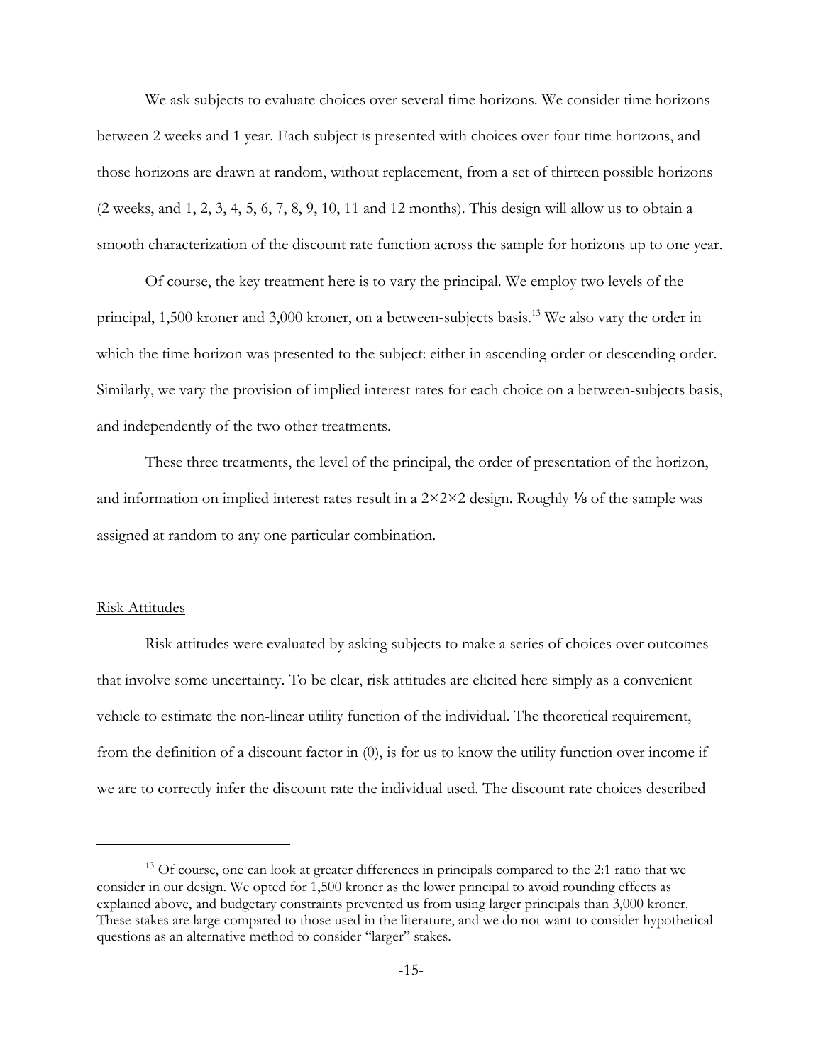We ask subjects to evaluate choices over several time horizons. We consider time horizons between 2 weeks and 1 year. Each subject is presented with choices over four time horizons, and those horizons are drawn at random, without replacement, from a set of thirteen possible horizons (2 weeks, and 1, 2, 3, 4, 5, 6, 7, 8, 9, 10, 11 and 12 months). This design will allow us to obtain a smooth characterization of the discount rate function across the sample for horizons up to one year.

Of course, the key treatment here is to vary the principal. We employ two levels of the principal, 1,500 kroner and 3,000 kroner, on a between-subjects basis.<sup>13</sup> We also vary the order in which the time horizon was presented to the subject: either in ascending order or descending order. Similarly, we vary the provision of implied interest rates for each choice on a between-subjects basis, and independently of the two other treatments.

These three treatments, the level of the principal, the order of presentation of the horizon, and information on implied interest rates result in a  $2 \times 2 \times 2$  design. Roughly 1/8 of the sample was assigned at random to any one particular combination.

# Risk Attitudes

Risk attitudes were evaluated by asking subjects to make a series of choices over outcomes that involve some uncertainty. To be clear, risk attitudes are elicited here simply as a convenient vehicle to estimate the non-linear utility function of the individual. The theoretical requirement, from the definition of a discount factor in (0), is for us to know the utility function over income if we are to correctly infer the discount rate the individual used. The discount rate choices described

<sup>&</sup>lt;sup>13</sup> Of course, one can look at greater differences in principals compared to the 2:1 ratio that we consider in our design. We opted for 1,500 kroner as the lower principal to avoid rounding effects as explained above, and budgetary constraints prevented us from using larger principals than 3,000 kroner. These stakes are large compared to those used in the literature, and we do not want to consider hypothetical questions as an alternative method to consider "larger" stakes.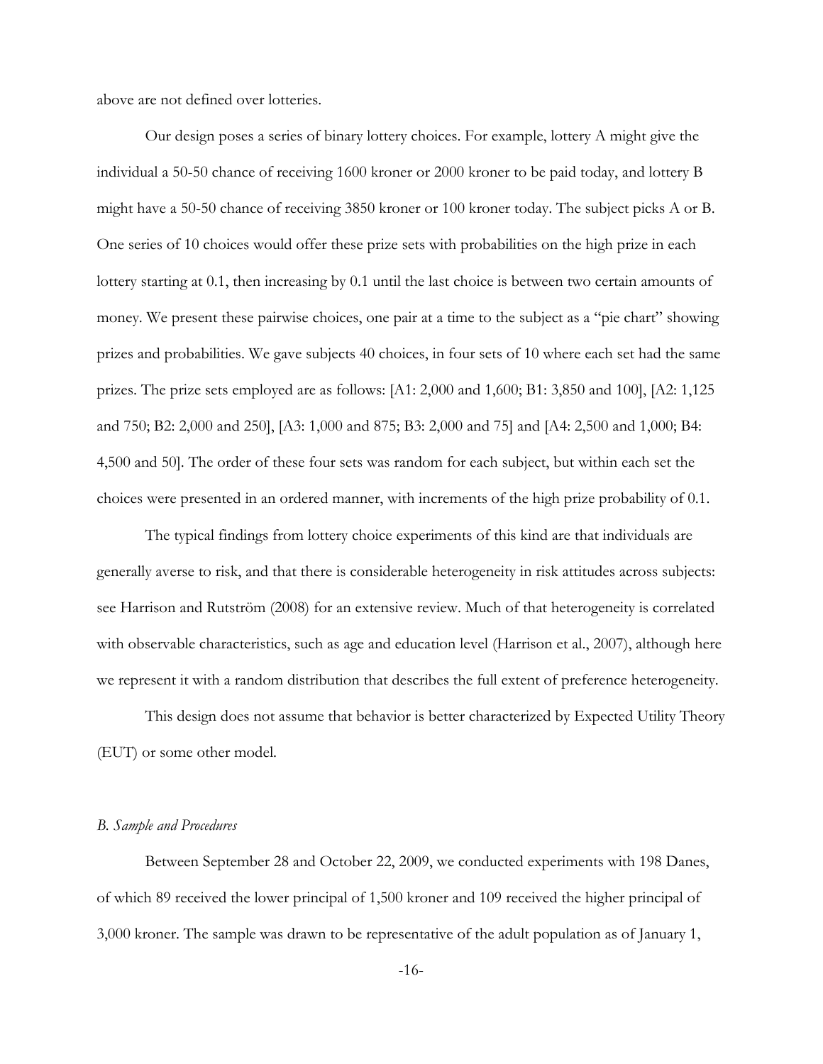above are not defined over lotteries.

Our design poses a series of binary lottery choices. For example, lottery A might give the individual a 50-50 chance of receiving 1600 kroner or 2000 kroner to be paid today, and lottery B might have a 50-50 chance of receiving 3850 kroner or 100 kroner today. The subject picks A or B. One series of 10 choices would offer these prize sets with probabilities on the high prize in each lottery starting at 0.1, then increasing by 0.1 until the last choice is between two certain amounts of money. We present these pairwise choices, one pair at a time to the subject as a "pie chart" showing prizes and probabilities. We gave subjects 40 choices, in four sets of 10 where each set had the same prizes. The prize sets employed are as follows: [A1: 2,000 and 1,600; B1: 3,850 and 100], [A2: 1,125 and 750; B2: 2,000 and 250], [A3: 1,000 and 875; B3: 2,000 and 75] and [A4: 2,500 and 1,000; B4: 4,500 and 50]. The order of these four sets was random for each subject, but within each set the choices were presented in an ordered manner, with increments of the high prize probability of 0.1.

The typical findings from lottery choice experiments of this kind are that individuals are generally averse to risk, and that there is considerable heterogeneity in risk attitudes across subjects: see Harrison and Rutström (2008) for an extensive review. Much of that heterogeneity is correlated with observable characteristics, such as age and education level (Harrison et al., 2007), although here we represent it with a random distribution that describes the full extent of preference heterogeneity.

This design does not assume that behavior is better characterized by Expected Utility Theory (EUT) or some other model.

#### *B. Sample and Procedures*

Between September 28 and October 22, 2009, we conducted experiments with 198 Danes, of which 89 received the lower principal of 1,500 kroner and 109 received the higher principal of 3,000 kroner. The sample was drawn to be representative of the adult population as of January 1,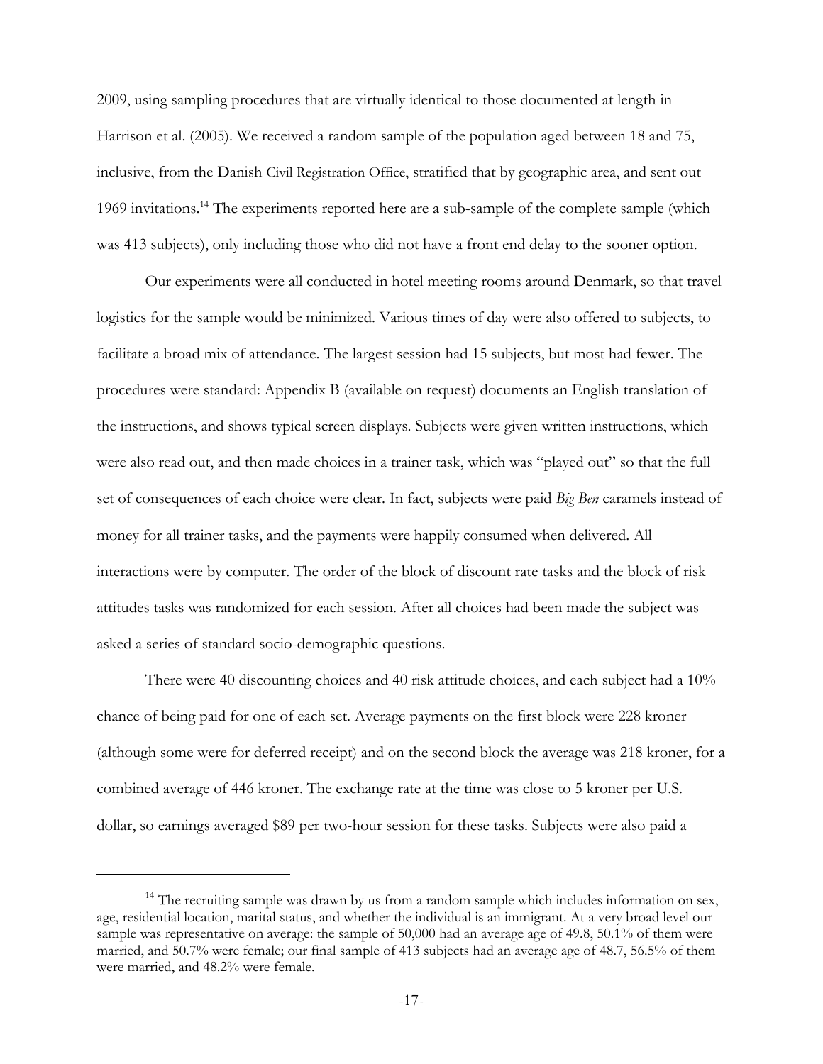2009, using sampling procedures that are virtually identical to those documented at length in Harrison et al. (2005). We received a random sample of the population aged between 18 and 75, inclusive, from the Danish Civil Registration Office, stratified that by geographic area, and sent out 1969 invitations.<sup>14</sup> The experiments reported here are a sub-sample of the complete sample (which was 413 subjects), only including those who did not have a front end delay to the sooner option.

Our experiments were all conducted in hotel meeting rooms around Denmark, so that travel logistics for the sample would be minimized. Various times of day were also offered to subjects, to facilitate a broad mix of attendance. The largest session had 15 subjects, but most had fewer. The procedures were standard: Appendix B (available on request) documents an English translation of the instructions, and shows typical screen displays. Subjects were given written instructions, which were also read out, and then made choices in a trainer task, which was "played out" so that the full set of consequences of each choice were clear. In fact, subjects were paid *Big Ben* caramels instead of money for all trainer tasks, and the payments were happily consumed when delivered. All interactions were by computer. The order of the block of discount rate tasks and the block of risk attitudes tasks was randomized for each session. After all choices had been made the subject was asked a series of standard socio-demographic questions.

There were 40 discounting choices and 40 risk attitude choices, and each subject had a 10% chance of being paid for one of each set. Average payments on the first block were 228 kroner (although some were for deferred receipt) and on the second block the average was 218 kroner, for a combined average of 446 kroner. The exchange rate at the time was close to 5 kroner per U.S. dollar, so earnings averaged \$89 per two-hour session for these tasks. Subjects were also paid a

<sup>&</sup>lt;sup>14</sup> The recruiting sample was drawn by us from a random sample which includes information on sex, age, residential location, marital status, and whether the individual is an immigrant. At a very broad level our sample was representative on average: the sample of 50,000 had an average age of 49.8, 50.1% of them were married, and 50.7% were female; our final sample of 413 subjects had an average age of 48.7, 56.5% of them were married, and 48.2% were female.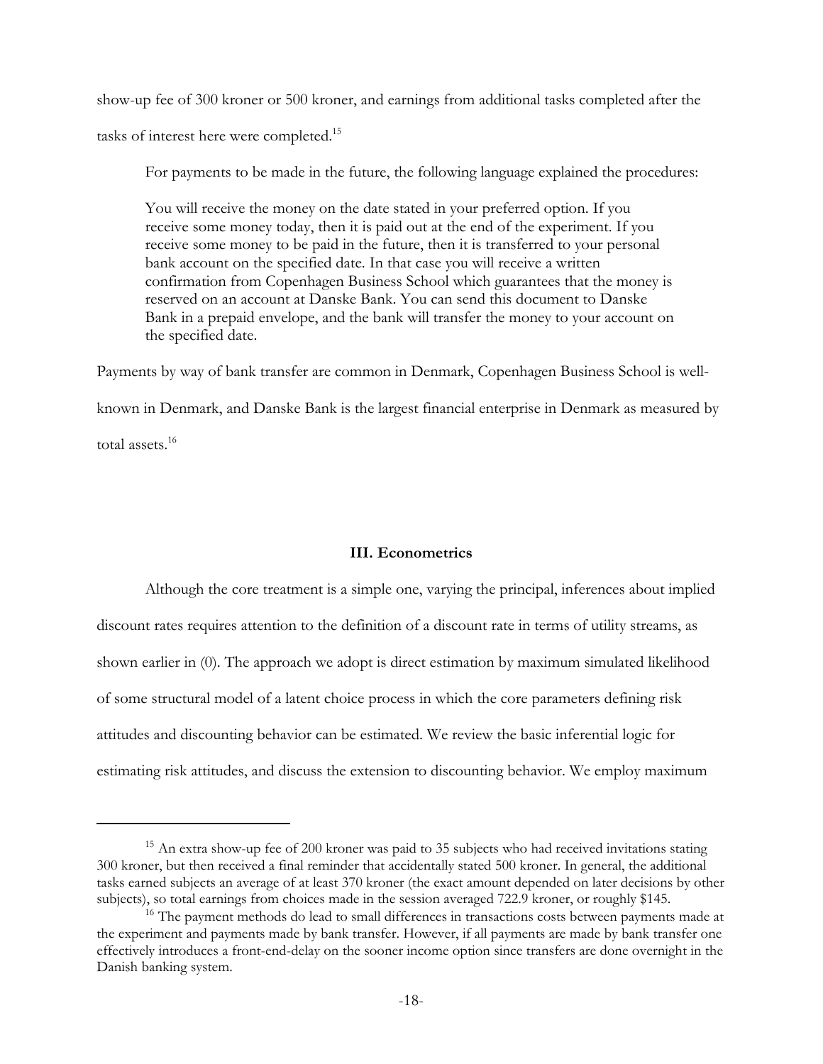show-up fee of 300 kroner or 500 kroner, and earnings from additional tasks completed after the tasks of interest here were completed.<sup>15</sup>

For payments to be made in the future, the following language explained the procedures:

You will receive the money on the date stated in your preferred option. If you receive some money today, then it is paid out at the end of the experiment. If you receive some money to be paid in the future, then it is transferred to your personal bank account on the specified date. In that case you will receive a written confirmation from Copenhagen Business School which guarantees that the money is reserved on an account at Danske Bank. You can send this document to Danske Bank in a prepaid envelope, and the bank will transfer the money to your account on the specified date.

Payments by way of bank transfer are common in Denmark, Copenhagen Business School is well-

known in Denmark, and Danske Bank is the largest financial enterprise in Denmark as measured by

total assets.16

# **III. Econometrics**

Although the core treatment is a simple one, varying the principal, inferences about implied discount rates requires attention to the definition of a discount rate in terms of utility streams, as shown earlier in (0). The approach we adopt is direct estimation by maximum simulated likelihood of some structural model of a latent choice process in which the core parameters defining risk attitudes and discounting behavior can be estimated. We review the basic inferential logic for estimating risk attitudes, and discuss the extension to discounting behavior. We employ maximum

<sup>&</sup>lt;sup>15</sup> An extra show-up fee of 200 kroner was paid to 35 subjects who had received invitations stating 300 kroner, but then received a final reminder that accidentally stated 500 kroner. In general, the additional tasks earned subjects an average of at least 370 kroner (the exact amount depended on later decisions by other subjects), so total earnings from choices made in the session averaged 722.9 kroner, or roughly \$145.

<sup>&</sup>lt;sup>16</sup> The payment methods do lead to small differences in transactions costs between payments made at the experiment and payments made by bank transfer. However, if all payments are made by bank transfer one effectively introduces a front-end-delay on the sooner income option since transfers are done overnight in the Danish banking system.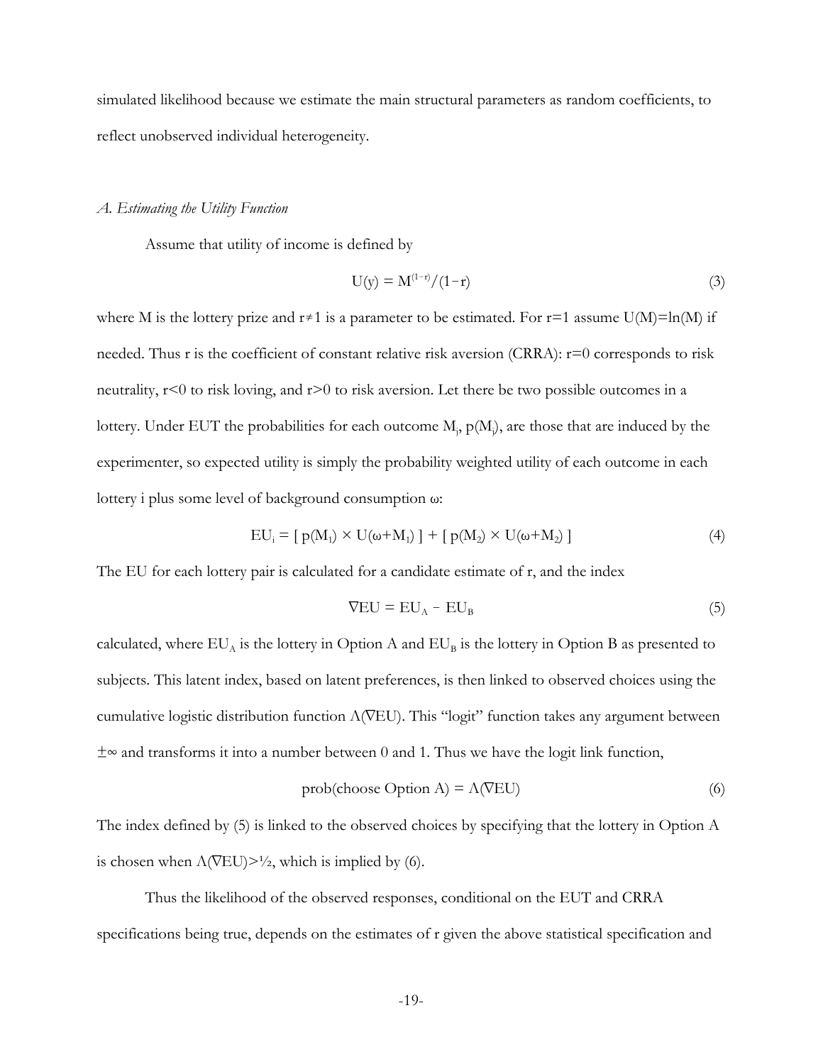simulated likelihood because we estimate the main structural parameters as random coefficients, to reflect unobserved individual heterogeneity.

#### *A. Estimating the Utility Function*

Assume that utility of income is defined by

$$
U(y) = M^{(1-r)}/(1-r)
$$
 (3)

where M is the lottery prize and  $r \neq 1$  is a parameter to be estimated. For r=1 assume U(M)=ln(M) if needed. Thus r is the coefficient of constant relative risk aversion (CRRA): r=0 corresponds to risk neutrality, r<0 to risk loving, and r>0 to risk aversion. Let there be two possible outcomes in a lottery. Under EUT the probabilities for each outcome  $M_j$ ,  $p(M_j)$ , are those that are induced by the experimenter, so expected utility is simply the probability weighted utility of each outcome in each lottery i plus some level of background consumption ω:

$$
EU_i = [p(M_1) \times U(\omega + M_1)] + [p(M_2) \times U(\omega + M_2)] \tag{4}
$$

The EU for each lottery pair is calculated for a candidate estimate of r, and the index

$$
\nabla \mathbf{E} \mathbf{U} = \mathbf{E} \mathbf{U}_{\mathbf{A}} - \mathbf{E} \mathbf{U}_{\mathbf{B}} \tag{5}
$$

calculated, where  $EU_A$  is the lottery in Option A and  $EU_B$  is the lottery in Option B as presented to subjects. This latent index, based on latent preferences, is then linked to observed choices using the cumulative logistic distribution function  $\Lambda$ (VEU). This "logit" function takes any argument between  $\pm\infty$  and transforms it into a number between 0 and 1. Thus we have the logit link function,

$$
prob(choose Option A) = \Lambda (VEU)
$$
 (6)

The index defined by (5) is linked to the observed choices by specifying that the lottery in Option A is chosen when  $\Lambda$ (VEU) $>1/2$ , which is implied by (6).

Thus the likelihood of the observed responses, conditional on the EUT and CRRA specifications being true, depends on the estimates of r given the above statistical specification and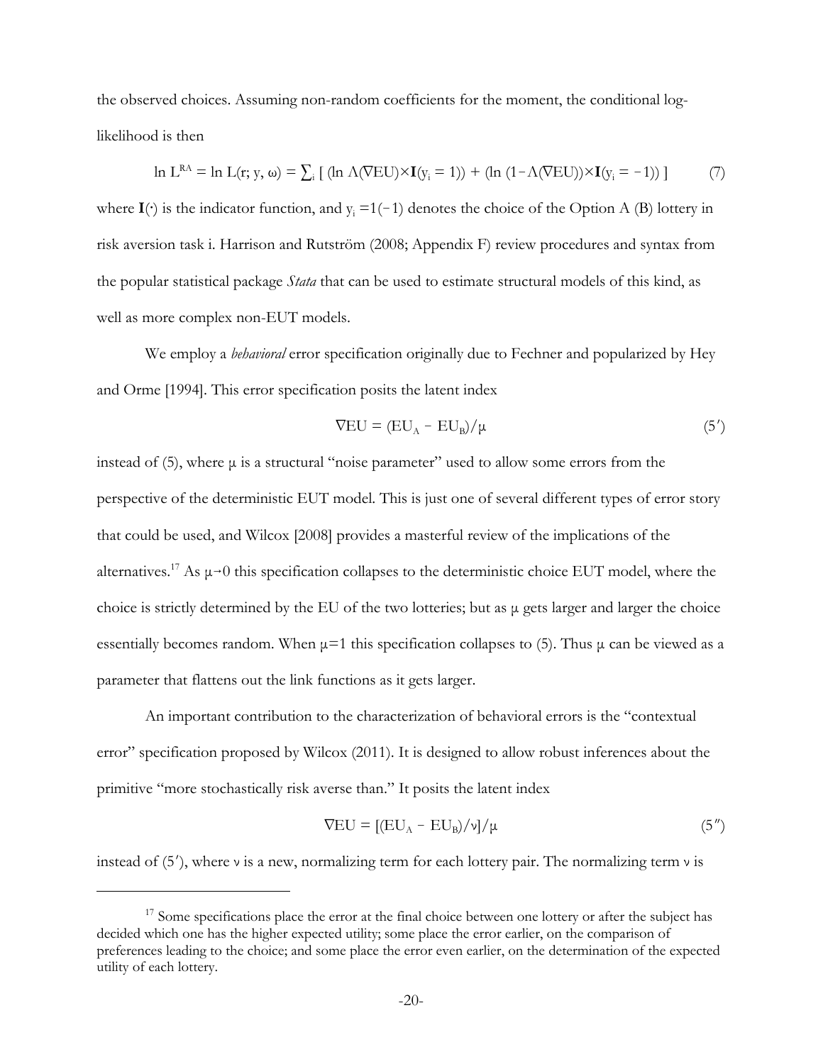the observed choices. Assuming non-random coefficients for the moment, the conditional loglikelihood is then

$$
\ln L^{RA} = \ln L(\mathbf{r}; \mathbf{y}, \omega) = \sum_{i} \left[ (\ln \Lambda(\nabla EU) \times \mathbf{I}(\mathbf{y}_i = 1)) + (\ln (1 - \Lambda(\nabla EU)) \times \mathbf{I}(\mathbf{y}_i = -1)) \right] \tag{7}
$$

where  $I($ <sup>r</sup>) is the indicator function, and  $y_i = 1(-1)$  denotes the choice of the Option A (B) lottery in risk aversion task i. Harrison and Rutström (2008; Appendix F) review procedures and syntax from the popular statistical package *Stata* that can be used to estimate structural models of this kind, as well as more complex non-EUT models.

We employ a *behavioral* error specification originally due to Fechner and popularized by Hey and Orme [1994]. This error specification posits the latent index

$$
\nabla \mathbf{E} \mathbf{U} = (\mathbf{E} \mathbf{U}_{\mathbf{A}} - \mathbf{E} \mathbf{U}_{\mathbf{B}}) / \mu \tag{5'}
$$

instead of (5), where μ is a structural "noise parameter" used to allow some errors from the perspective of the deterministic EUT model. This is just one of several different types of error story that could be used, and Wilcox [2008] provides a masterful review of the implications of the alternatives.<sup>17</sup> As  $\mu \rightarrow 0$  this specification collapses to the deterministic choice EUT model, where the choice is strictly determined by the EU of the two lotteries; but as μ gets larger and larger the choice essentially becomes random. When  $\mu$ =1 this specification collapses to (5). Thus  $\mu$  can be viewed as a parameter that flattens out the link functions as it gets larger.

An important contribution to the characterization of behavioral errors is the "contextual error" specification proposed by Wilcox (2011). It is designed to allow robust inferences about the primitive "more stochastically risk averse than." It posits the latent index

$$
\nabla \mathbf{E} \mathbf{U} = \left[ (\mathbf{E} \mathbf{U}_{\mathbf{A}} - \mathbf{E} \mathbf{U}_{\mathbf{B}}) / \mathbf{v} \right] / \mu \tag{5''}
$$

instead of  $(5')$ , where *v* is a new, normalizing term for each lottery pair. The normalizing term *v* is

 $17$  Some specifications place the error at the final choice between one lottery or after the subject has decided which one has the higher expected utility; some place the error earlier, on the comparison of preferences leading to the choice; and some place the error even earlier, on the determination of the expected utility of each lottery.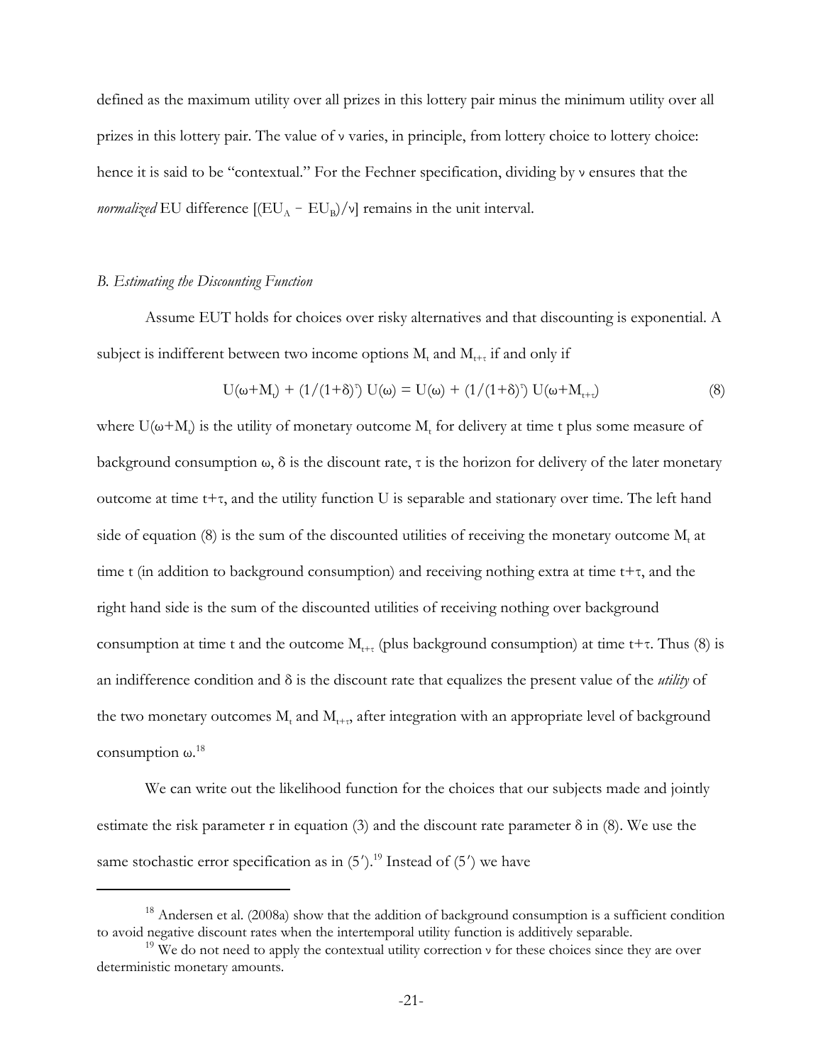defined as the maximum utility over all prizes in this lottery pair minus the minimum utility over all prizes in this lottery pair. The value of ν varies, in principle, from lottery choice to lottery choice: hence it is said to be "contextual." For the Fechner specification, dividing by ν ensures that the *normalized* EU difference  $[(EU_A - EU_B)/v]$  remains in the unit interval.

#### *B. Estimating the Discounting Function*

Assume EUT holds for choices over risky alternatives and that discounting is exponential. A subject is indifferent between two income options  $M_t$  and  $M_{t+\tau}$  if and only if

$$
U(\omega + M_t) + (1/(1+\delta)^{\gamma}) U(\omega) = U(\omega) + (1/(1+\delta)^{\gamma}) U(\omega + M_{t+\tau})
$$
\n(8)

where  $U(\omega + M_t)$  is the utility of monetary outcome  $M_t$  for delivery at time t plus some measure of background consumption  $\omega$ ,  $\delta$  is the discount rate,  $\tau$  is the horizon for delivery of the later monetary outcome at time  $t+\tau$ , and the utility function U is separable and stationary over time. The left hand side of equation (8) is the sum of the discounted utilities of receiving the monetary outcome  $M_t$  at time t (in addition to background consumption) and receiving nothing extra at time  $t+\tau$ , and the right hand side is the sum of the discounted utilities of receiving nothing over background consumption at time t and the outcome  $M_{t+\tau}$  (plus background consumption) at time t+τ. Thus (8) is an indifference condition and δ is the discount rate that equalizes the present value of the *utility* of the two monetary outcomes  $M_t$  and  $M_{t+\tau}$ , after integration with an appropriate level of background consumption  $\omega$ <sup>18</sup>

We can write out the likelihood function for the choices that our subjects made and jointly estimate the risk parameter r in equation (3) and the discount rate parameter  $\delta$  in (8). We use the same stochastic error specification as in  $(5')$ .<sup>19</sup> Instead of  $(5')$  we have

 $18$  Andersen et al. (2008a) show that the addition of background consumption is a sufficient condition to avoid negative discount rates when the intertemporal utility function is additively separable.

<sup>&</sup>lt;sup>19</sup> We do not need to apply the contextual utility correction  $\nu$  for these choices since they are over deterministic monetary amounts.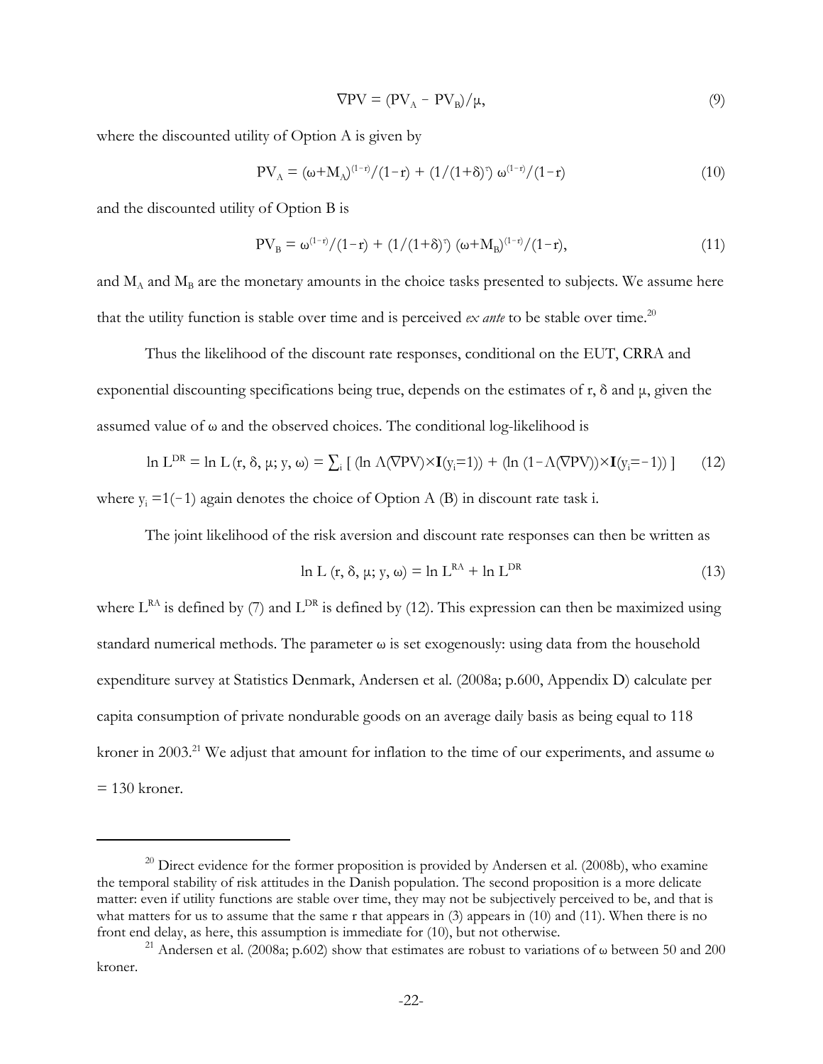$$
\nabla \mathbf{PV} = (\mathbf{PV}_{\mathbf{A}} - \mathbf{PV}_{\mathbf{B}}) / \mu,\tag{9}
$$

where the discounted utility of Option A is given by

$$
PV_{A} = (\omega + M_{A})^{(1-r)}/(1-r) + (1/(1+\delta)^{r}) \omega^{(1-r)}/(1-r)
$$
\n(10)

and the discounted utility of Option B is

$$
PV_{B} = \omega^{(1-r)}/(1-r) + (1/(1+\delta)^{r}) (\omega + M_{B})^{(1-r)}/(1-r),
$$
\n(11)

and  $M_A$  and  $M_B$  are the monetary amounts in the choice tasks presented to subjects. We assume here that the utility function is stable over time and is perceived *ex ante* to be stable over time.<sup>20</sup>

Thus the likelihood of the discount rate responses, conditional on the EUT, CRRA and exponential discounting specifications being true, depends on the estimates of r,  $\delta$  and  $\mu$ , given the assumed value of  $\omega$  and the observed choices. The conditional log-likelihood is

$$
\ln L^{DR} = \ln L(r, \delta, \mu; y, \omega) = \sum_{i} \left[ (\ln \Lambda(\nabla PV) \times I(y_i=1)) + (\ln (1 - \Lambda(\nabla PV)) \times I(y_i=-1)) \right] \tag{12}
$$

where  $y_i = 1(-1)$  again denotes the choice of Option A (B) in discount rate task i.

The joint likelihood of the risk aversion and discount rate responses can then be written as

$$
\ln L \left( \mathbf{r}, \delta, \mu; \mathbf{y}, \omega \right) = \ln L^{\text{RA}} + \ln L^{\text{DR}} \tag{13}
$$

where  $L^{RA}$  is defined by (7) and  $L^{DR}$  is defined by (12). This expression can then be maximized using standard numerical methods. The parameter  $\omega$  is set exogenously: using data from the household expenditure survey at Statistics Denmark, Andersen et al. (2008a; p.600, Appendix D) calculate per capita consumption of private nondurable goods on an average daily basis as being equal to 118 kroner in 2003.<sup>21</sup> We adjust that amount for inflation to the time of our experiments, and assume  $\omega$  $= 130$  kroner.

 $^{20}$  Direct evidence for the former proposition is provided by Andersen et al. (2008b), who examine the temporal stability of risk attitudes in the Danish population. The second proposition is a more delicate matter: even if utility functions are stable over time, they may not be subjectively perceived to be, and that is what matters for us to assume that the same r that appears in (3) appears in (10) and (11). When there is no front end delay, as here, this assumption is immediate for (10), but not otherwise.

<sup>&</sup>lt;sup>21</sup> Andersen et al. (2008a; p.602) show that estimates are robust to variations of  $\omega$  between 50 and 200 kroner.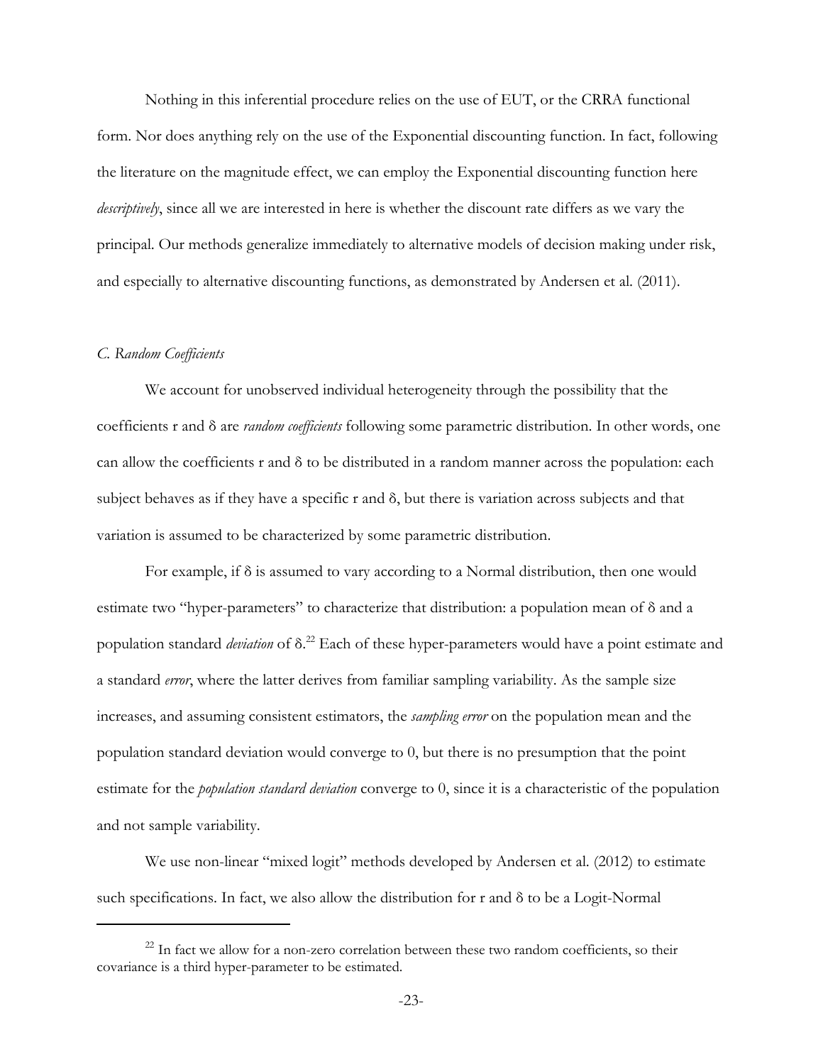Nothing in this inferential procedure relies on the use of EUT, or the CRRA functional form. Nor does anything rely on the use of the Exponential discounting function. In fact, following the literature on the magnitude effect, we can employ the Exponential discounting function here *descriptively*, since all we are interested in here is whether the discount rate differs as we vary the principal. Our methods generalize immediately to alternative models of decision making under risk, and especially to alternative discounting functions, as demonstrated by Andersen et al. (2011).

#### *C. Random Coefficients*

We account for unobserved individual heterogeneity through the possibility that the coefficients r and δ are *random coefficients* following some parametric distribution. In other words, one can allow the coefficients r and  $\delta$  to be distributed in a random manner across the population: each subject behaves as if they have a specific r and δ, but there is variation across subjects and that variation is assumed to be characterized by some parametric distribution.

For example, if  $\delta$  is assumed to vary according to a Normal distribution, then one would estimate two "hyper-parameters" to characterize that distribution: a population mean of δ and a population standard *deviation* of δ. 22 Each of these hyper-parameters would have a point estimate and a standard *error*, where the latter derives from familiar sampling variability. As the sample size increases, and assuming consistent estimators, the *sampling error* on the population mean and the population standard deviation would converge to 0, but there is no presumption that the point estimate for the *population standard deviation* converge to 0, since it is a characteristic of the population and not sample variability.

We use non-linear "mixed logit" methods developed by Andersen et al. (2012) to estimate such specifications. In fact, we also allow the distribution for r and δ to be a Logit-Normal

 $22$  In fact we allow for a non-zero correlation between these two random coefficients, so their covariance is a third hyper-parameter to be estimated.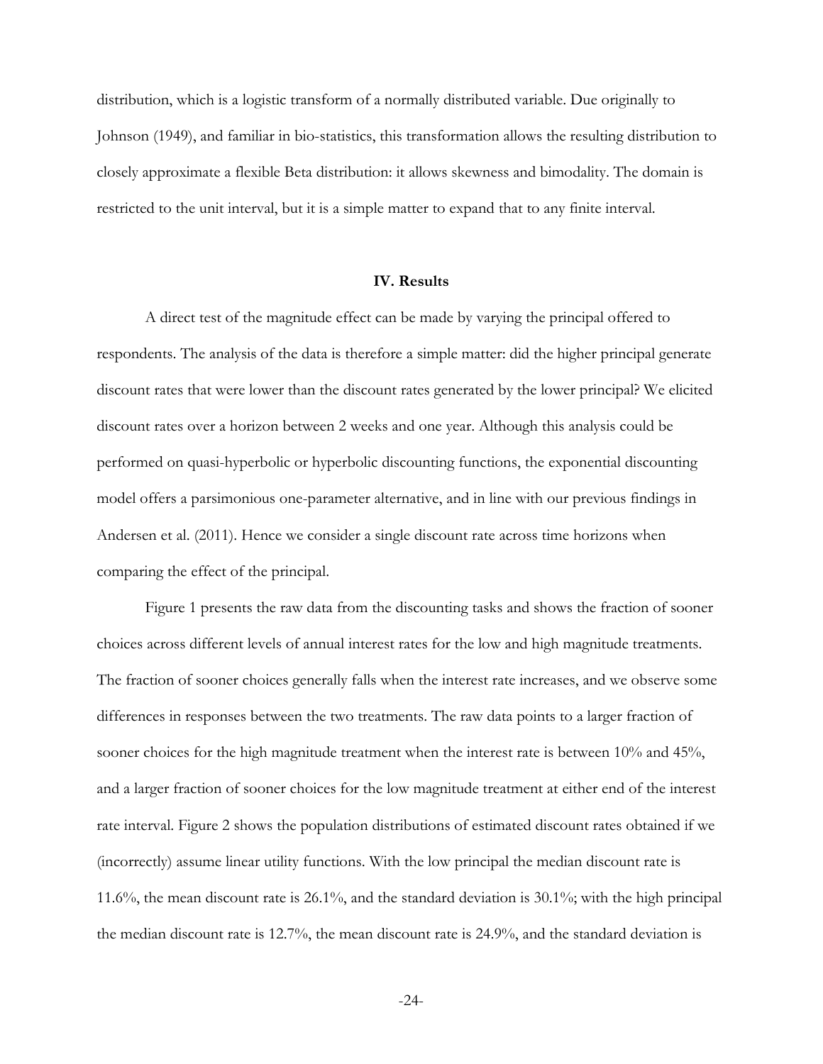distribution, which is a logistic transform of a normally distributed variable. Due originally to Johnson (1949), and familiar in bio-statistics, this transformation allows the resulting distribution to closely approximate a flexible Beta distribution: it allows skewness and bimodality. The domain is restricted to the unit interval, but it is a simple matter to expand that to any finite interval.

## **IV. Results**

A direct test of the magnitude effect can be made by varying the principal offered to respondents. The analysis of the data is therefore a simple matter: did the higher principal generate discount rates that were lower than the discount rates generated by the lower principal? We elicited discount rates over a horizon between 2 weeks and one year. Although this analysis could be performed on quasi-hyperbolic or hyperbolic discounting functions, the exponential discounting model offers a parsimonious one-parameter alternative, and in line with our previous findings in Andersen et al. (2011). Hence we consider a single discount rate across time horizons when comparing the effect of the principal.

Figure 1 presents the raw data from the discounting tasks and shows the fraction of sooner choices across different levels of annual interest rates for the low and high magnitude treatments. The fraction of sooner choices generally falls when the interest rate increases, and we observe some differences in responses between the two treatments. The raw data points to a larger fraction of sooner choices for the high magnitude treatment when the interest rate is between 10% and 45%, and a larger fraction of sooner choices for the low magnitude treatment at either end of the interest rate interval. Figure 2 shows the population distributions of estimated discount rates obtained if we (incorrectly) assume linear utility functions. With the low principal the median discount rate is 11.6%, the mean discount rate is 26.1%, and the standard deviation is 30.1%; with the high principal the median discount rate is 12.7%, the mean discount rate is 24.9%, and the standard deviation is

-24-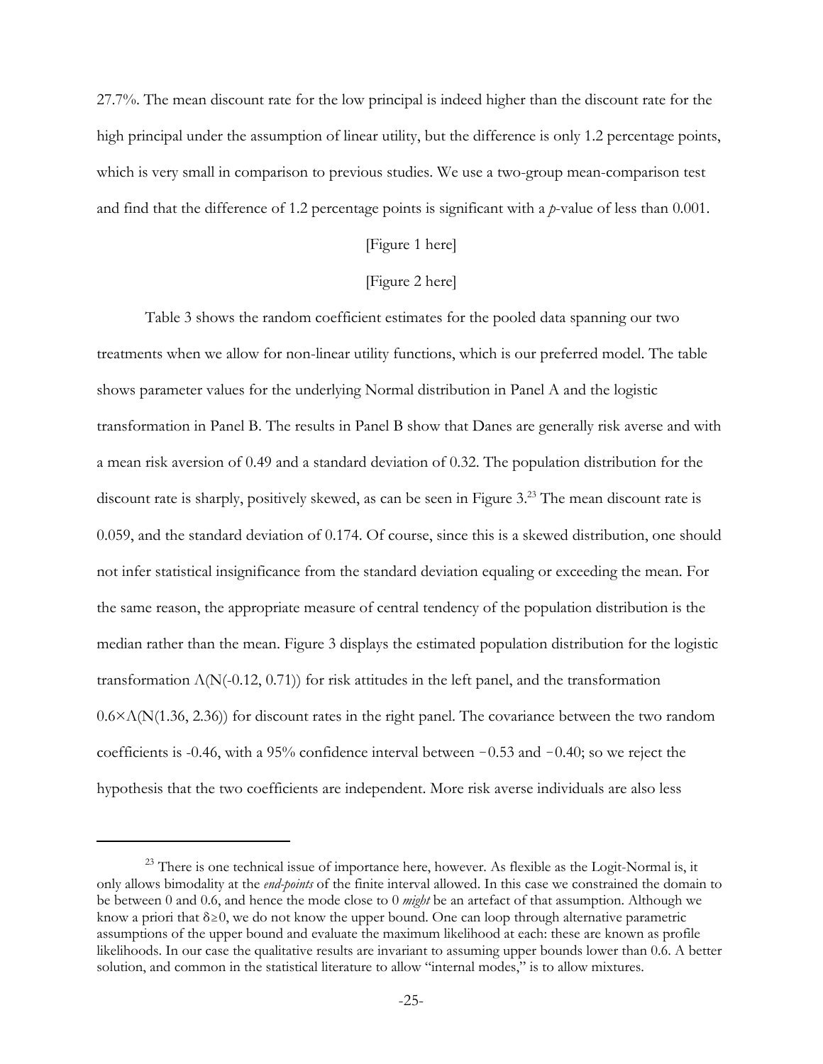27.7%. The mean discount rate for the low principal is indeed higher than the discount rate for the high principal under the assumption of linear utility, but the difference is only 1.2 percentage points, which is very small in comparison to previous studies. We use a two-group mean-comparison test and find that the difference of 1.2 percentage points is significant with a *p*-value of less than 0.001.

# [Figure 1 here]

# [Figure 2 here]

Table 3 shows the random coefficient estimates for the pooled data spanning our two treatments when we allow for non-linear utility functions, which is our preferred model. The table shows parameter values for the underlying Normal distribution in Panel A and the logistic transformation in Panel B. The results in Panel B show that Danes are generally risk averse and with a mean risk aversion of 0.49 and a standard deviation of 0.32. The population distribution for the discount rate is sharply, positively skewed, as can be seen in Figure 3.<sup>23</sup> The mean discount rate is 0.059, and the standard deviation of 0.174. Of course, since this is a skewed distribution, one should not infer statistical insignificance from the standard deviation equaling or exceeding the mean. For the same reason, the appropriate measure of central tendency of the population distribution is the median rather than the mean. Figure 3 displays the estimated population distribution for the logistic transformation  $\Lambda(N(-0.12, 0.71))$  for risk attitudes in the left panel, and the transformation 0.6×Λ(N(1.36, 2.36)) for discount rates in the right panel. The covariance between the two random coefficients is -0.46, with a 95% confidence interval between  $-0.53$  and  $-0.40$ ; so we reject the hypothesis that the two coefficients are independent. More risk averse individuals are also less

<sup>&</sup>lt;sup>23</sup> There is one technical issue of importance here, however. As flexible as the Logit-Normal is, it only allows bimodality at the *end-points* of the finite interval allowed. In this case we constrained the domain to be between 0 and 0.6, and hence the mode close to 0 *might* be an artefact of that assumption. Although we know a priori that  $\delta \geq 0$ , we do not know the upper bound. One can loop through alternative parametric assumptions of the upper bound and evaluate the maximum likelihood at each: these are known as profile likelihoods. In our case the qualitative results are invariant to assuming upper bounds lower than 0.6. A better solution, and common in the statistical literature to allow "internal modes," is to allow mixtures.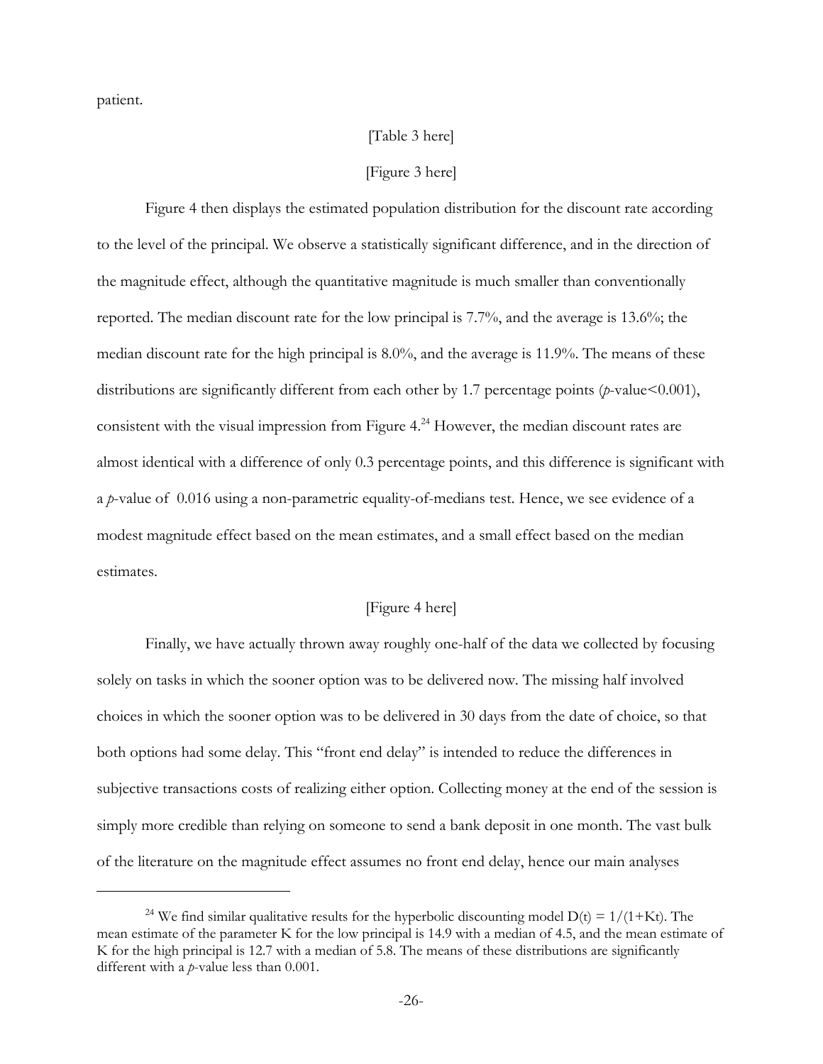patient.

## [Table 3 here]

# [Figure 3 here]

Figure 4 then displays the estimated population distribution for the discount rate according to the level of the principal. We observe a statistically significant difference, and in the direction of the magnitude effect, although the quantitative magnitude is much smaller than conventionally reported. The median discount rate for the low principal is 7.7%, and the average is 13.6%; the median discount rate for the high principal is 8.0%, and the average is 11.9%. The means of these distributions are significantly different from each other by 1.7 percentage points (*p*-value <0.001), consistent with the visual impression from Figure  $4.^{24}$  However, the median discount rates are almost identical with a difference of only 0.3 percentage points, and this difference is significant with a *p*-value of 0.016 using a non-parametric equality-of-medians test. Hence, we see evidence of a modest magnitude effect based on the mean estimates, and a small effect based on the median estimates.

# [Figure 4 here]

Finally, we have actually thrown away roughly one-half of the data we collected by focusing solely on tasks in which the sooner option was to be delivered now. The missing half involved choices in which the sooner option was to be delivered in 30 days from the date of choice, so that both options had some delay. This "front end delay" is intended to reduce the differences in subjective transactions costs of realizing either option. Collecting money at the end of the session is simply more credible than relying on someone to send a bank deposit in one month. The vast bulk of the literature on the magnitude effect assumes no front end delay, hence our main analyses

<sup>&</sup>lt;sup>24</sup> We find similar qualitative results for the hyperbolic discounting model  $D(t) = 1/(1+Kt)$ . The mean estimate of the parameter K for the low principal is 14.9 with a median of 4.5, and the mean estimate of K for the high principal is 12.7 with a median of 5.8. The means of these distributions are significantly different with a *p*-value less than 0.001.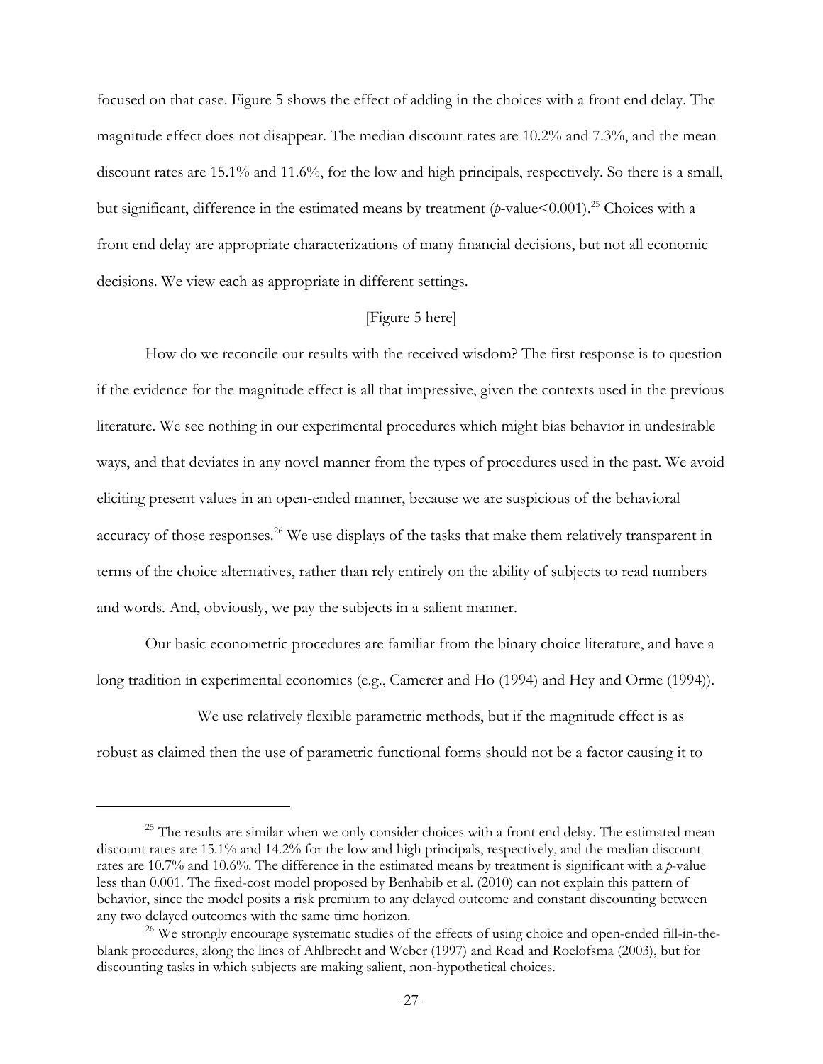focused on that case. Figure 5 shows the effect of adding in the choices with a front end delay. The magnitude effect does not disappear. The median discount rates are 10.2% and 7.3%, and the mean discount rates are 15.1% and 11.6%, for the low and high principals, respectively. So there is a small, but significant, difference in the estimated means by treatment  $(p$ -value $\leq 0.001$ ).<sup>25</sup> Choices with a front end delay are appropriate characterizations of many financial decisions, but not all economic decisions. We view each as appropriate in different settings.

# [Figure 5 here]

How do we reconcile our results with the received wisdom? The first response is to question if the evidence for the magnitude effect is all that impressive, given the contexts used in the previous literature. We see nothing in our experimental procedures which might bias behavior in undesirable ways, and that deviates in any novel manner from the types of procedures used in the past. We avoid eliciting present values in an open-ended manner, because we are suspicious of the behavioral accuracy of those responses.<sup>26</sup> We use displays of the tasks that make them relatively transparent in terms of the choice alternatives, rather than rely entirely on the ability of subjects to read numbers and words. And, obviously, we pay the subjects in a salient manner.

Our basic econometric procedures are familiar from the binary choice literature, and have a long tradition in experimental economics (e.g., Camerer and Ho (1994) and Hey and Orme (1994)).

 We use relatively flexible parametric methods, but if the magnitude effect is as robust as claimed then the use of parametric functional forms should not be a factor causing it to

<sup>&</sup>lt;sup>25</sup> The results are similar when we only consider choices with a front end delay. The estimated mean discount rates are 15.1% and 14.2% for the low and high principals, respectively, and the median discount rates are 10.7% and 10.6%. The difference in the estimated means by treatment is significant with a *p*-value less than 0.001. The fixed-cost model proposed by Benhabib et al. (2010) can not explain this pattern of behavior, since the model posits a risk premium to any delayed outcome and constant discounting between any two delayed outcomes with the same time horizon.

 $^{26}$  We strongly encourage systematic studies of the effects of using choice and open-ended fill-in-theblank procedures, along the lines of Ahlbrecht and Weber (1997) and Read and Roelofsma (2003), but for discounting tasks in which subjects are making salient, non-hypothetical choices.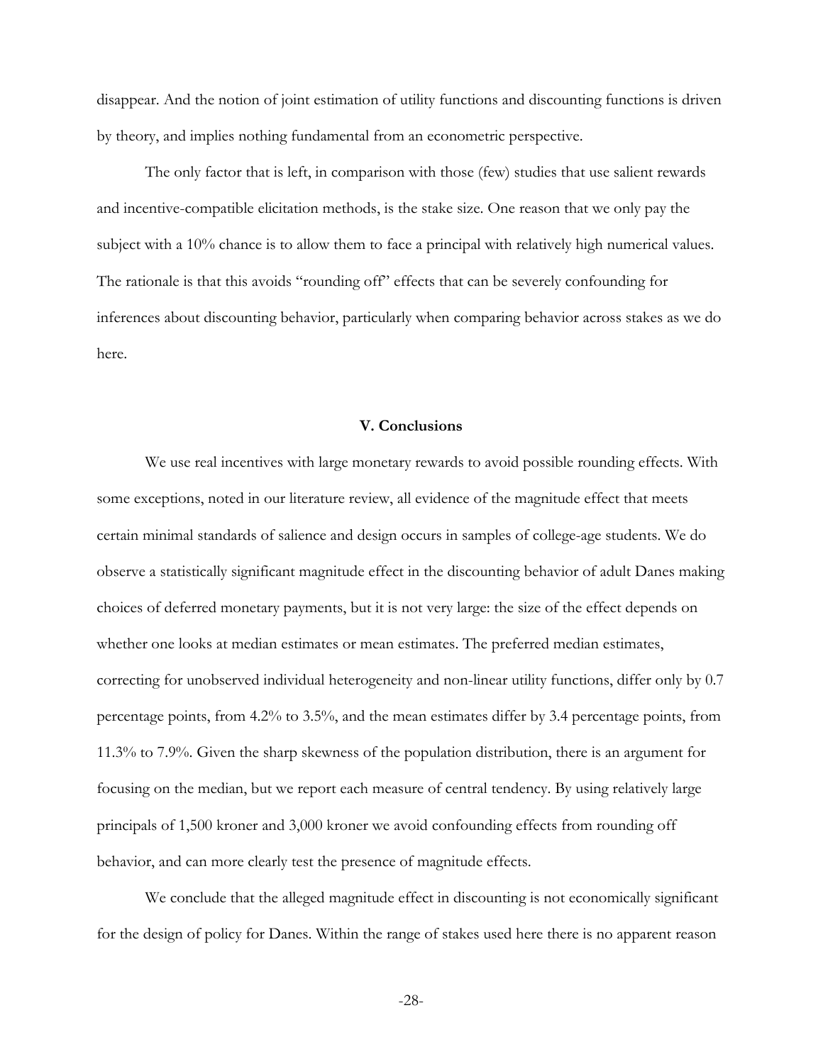disappear. And the notion of joint estimation of utility functions and discounting functions is driven by theory, and implies nothing fundamental from an econometric perspective.

The only factor that is left, in comparison with those (few) studies that use salient rewards and incentive-compatible elicitation methods, is the stake size. One reason that we only pay the subject with a 10% chance is to allow them to face a principal with relatively high numerical values. The rationale is that this avoids "rounding off" effects that can be severely confounding for inferences about discounting behavior, particularly when comparing behavior across stakes as we do here.

#### **V. Conclusions**

We use real incentives with large monetary rewards to avoid possible rounding effects. With some exceptions, noted in our literature review, all evidence of the magnitude effect that meets certain minimal standards of salience and design occurs in samples of college-age students. We do observe a statistically significant magnitude effect in the discounting behavior of adult Danes making choices of deferred monetary payments, but it is not very large: the size of the effect depends on whether one looks at median estimates or mean estimates. The preferred median estimates, correcting for unobserved individual heterogeneity and non-linear utility functions, differ only by 0.7 percentage points, from 4.2% to 3.5%, and the mean estimates differ by 3.4 percentage points, from 11.3% to 7.9%. Given the sharp skewness of the population distribution, there is an argument for focusing on the median, but we report each measure of central tendency. By using relatively large principals of 1,500 kroner and 3,000 kroner we avoid confounding effects from rounding off behavior, and can more clearly test the presence of magnitude effects.

We conclude that the alleged magnitude effect in discounting is not economically significant for the design of policy for Danes. Within the range of stakes used here there is no apparent reason

-28-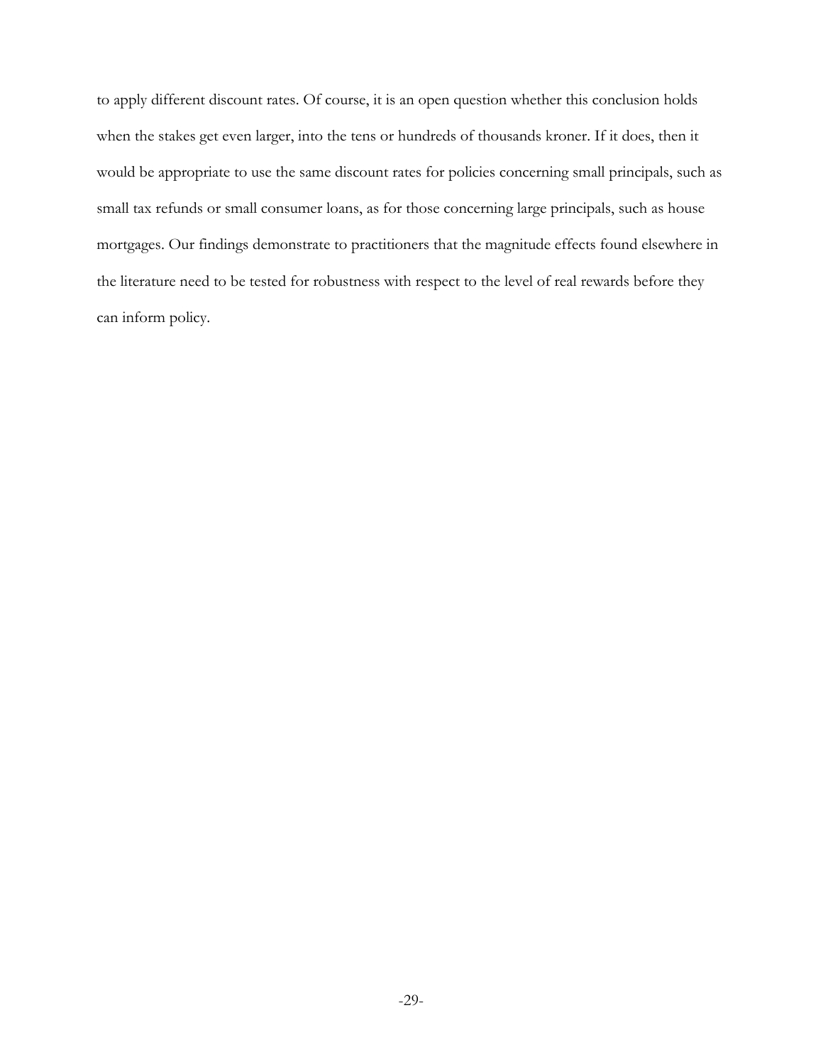to apply different discount rates. Of course, it is an open question whether this conclusion holds when the stakes get even larger, into the tens or hundreds of thousands kroner. If it does, then it would be appropriate to use the same discount rates for policies concerning small principals, such as small tax refunds or small consumer loans, as for those concerning large principals, such as house mortgages. Our findings demonstrate to practitioners that the magnitude effects found elsewhere in the literature need to be tested for robustness with respect to the level of real rewards before they can inform policy.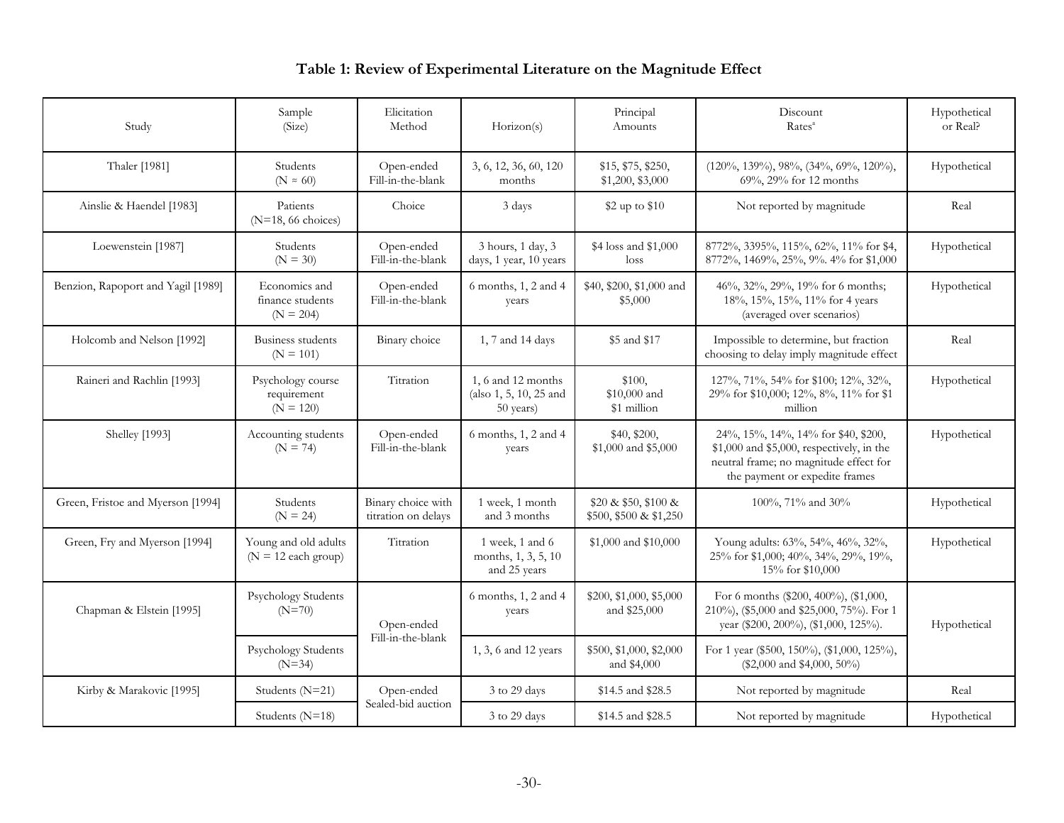# **Table 1: Review of Experimental Literature on the Magnitude Effect**

| Study                              | Sample<br>(Size)                                 | Elicitation<br>Method                     | Horizon(s)                                                | Principal<br>Amounts                           | Discount<br>Rates <sup>a</sup>                                                                                                                                  | Hypothetical<br>or Real? |
|------------------------------------|--------------------------------------------------|-------------------------------------------|-----------------------------------------------------------|------------------------------------------------|-----------------------------------------------------------------------------------------------------------------------------------------------------------------|--------------------------|
| Thaler [1981]                      | Students<br>$(N \approx 60)$                     | Open-ended<br>Fill-in-the-blank           | 3, 6, 12, 36, 60, 120<br>months                           | \$15, \$75, \$250,<br>\$1,200, \$3,000         | $(120\%, 139\%), 98\%, (34\%, 69\%, 120\%),$<br>69%, 29% for 12 months                                                                                          | Hypothetical             |
| Ainslie & Haendel [1983]           | Patients<br>$(N=18, 66$ choices)                 | Choice                                    | 3 days                                                    | \$2 up to \$10                                 | Not reported by magnitude                                                                                                                                       | Real                     |
| Loewenstein [1987]                 | Students<br>$(N = 30)$                           | Open-ended<br>Fill-in-the-blank           | 3 hours, 1 day, 3<br>days, 1 year, 10 years               | \$4 loss and \$1,000<br>loss                   | 8772%, 3395%, 115%, 62%, 11% for \$4,<br>8772%, 1469%, 25%, 9%. 4% for \$1,000                                                                                  | Hypothetical             |
| Benzion, Rapoport and Yagil [1989] | Economics and<br>finance students<br>$(N = 204)$ | Open-ended<br>Fill-in-the-blank           | 6 months, 1, 2 and 4<br>years                             | \$40, \$200, \$1,000 and<br>\$5,000            | 46%, 32%, 29%, 19% for 6 months;<br>18%, 15%, 15%, 11% for 4 years<br>(averaged over scenarios)                                                                 | Hypothetical             |
| Holcomb and Nelson [1992]          | Business students<br>$(N = 101)$                 | Binary choice                             | 1, 7 and 14 days                                          | \$5 and \$17                                   | Impossible to determine, but fraction<br>choosing to delay imply magnitude effect                                                                               | Real                     |
| Raineri and Rachlin [1993]         | Psychology course<br>requirement<br>$(N = 120)$  | Titration                                 | 1, 6 and 12 months<br>(also 1, 5, 10, 25 and<br>50 years) | \$100,<br>\$10,000 and<br>\$1 million          | 127%, 71%, 54% for \$100; 12%, 32%,<br>29% for \$10,000; 12%, 8%, 11% for \$1<br>million                                                                        | Hypothetical             |
| Shelley [1993]                     | Accounting students<br>$(N = 74)$                | Open-ended<br>Fill-in-the-blank           | 6 months, 1, 2 and 4<br>years                             | \$40, \$200,<br>\$1,000 and \$5,000            | 24%, 15%, 14%, 14% for \$40, \$200,<br>$$1,000$ and $$5,000$ , respectively, in the<br>neutral frame; no magnitude effect for<br>the payment or expedite frames | Hypothetical             |
| Green, Fristoe and Myerson [1994]  | Students<br>$(N = 24)$                           | Binary choice with<br>titration on delays | 1 week, 1 month<br>and 3 months                           | \$20 & \$50, \$100 &<br>\$500, \$500 & \$1,250 | 100%, 71% and 30%                                                                                                                                               | Hypothetical             |
| Green, Fry and Myerson [1994]      | Young and old adults<br>$(N = 12$ each group)    | Titration                                 | 1 week, 1 and 6<br>months, 1, 3, 5, 10<br>and 25 years    | \$1,000 and \$10,000                           | Young adults: 63%, 54%, 46%, 32%,<br>25% for \$1,000; 40%, 34%, 29%, 19%,<br>15% for \$10,000                                                                   | Hypothetical             |
| Chapman & Elstein [1995]           | Psychology Students<br>$(N=70)$                  | Open-ended                                |                                                           | \$200, \$1,000, \$5,000<br>and \$25,000        | For 6 months (\$200, 400%), (\$1,000,<br>210%), (\$5,000 and \$25,000, 75%). For 1<br>year (\$200, 200%), (\$1,000, 125%).                                      | Hypothetical             |
|                                    | Psychology Students<br>$(N=34)$                  | Fill-in-the-blank                         | 1, 3, 6 and 12 years                                      | \$500, \$1,000, \$2,000<br>and \$4,000         | For 1 year (\$500, 150%), (\$1,000, 125%),<br>(\$2,000 and \$4,000, 50%)                                                                                        |                          |
| Kirby & Marakovic [1995]           | Students (N=21)                                  | Open-ended                                | 3 to 29 days                                              | \$14.5 and \$28.5                              | Not reported by magnitude                                                                                                                                       | Real                     |
|                                    | Students (N=18)                                  | Sealed-bid auction                        | 3 to 29 days                                              | \$14.5 and \$28.5                              | Not reported by magnitude                                                                                                                                       | Hypothetical             |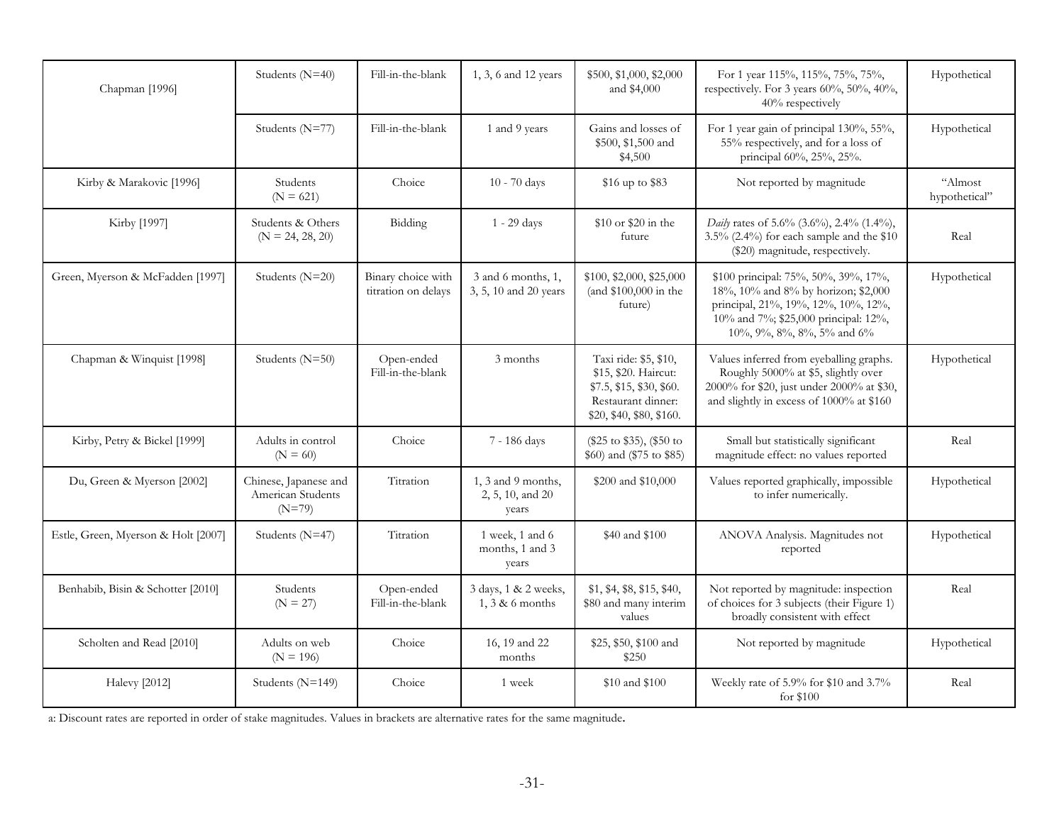| Chapman [1996]                      | Students (N=40)                                        | Fill-in-the-blank                         | 1, 3, 6 and 12 years                                | \$500, \$1,000, \$2,000<br>and \$4,000                                                                                      | For 1 year 115%, 115%, 75%, 75%,<br>respectively. For 3 years 60%, 50%, 40%,<br>40% respectively                                                                                         | Hypothetical             |
|-------------------------------------|--------------------------------------------------------|-------------------------------------------|-----------------------------------------------------|-----------------------------------------------------------------------------------------------------------------------------|------------------------------------------------------------------------------------------------------------------------------------------------------------------------------------------|--------------------------|
|                                     | Students (N=77)                                        | Fill-in-the-blank                         | 1 and 9 years                                       | Gains and losses of<br>\$500, \$1,500 and<br>\$4,500                                                                        | For 1 year gain of principal 130%, 55%,<br>55% respectively, and for a loss of<br>principal 60%, 25%, 25%.                                                                               | Hypothetical             |
| Kirby & Marakovic [1996]            | Students<br>$(N = 621)$                                | Choice                                    | 10 - 70 days                                        | \$16 up to \$83                                                                                                             | Not reported by magnitude                                                                                                                                                                | "Almost<br>hypothetical" |
| Kirby [1997]                        | Students & Others<br>$(N = 24, 28, 20)$                | Bidding                                   | $1 - 29$ days                                       | \$10 or \$20 in the<br>future                                                                                               | Daily rates of 5.6% (3.6%), 2.4% (1.4%),<br>$3.5\%$ (2.4%) for each sample and the \$10<br>(\$20) magnitude, respectively.                                                               | Real                     |
| Green, Myerson & McFadden [1997]    | Students (N=20)                                        | Binary choice with<br>titration on delays | 3 and 6 months, 1,<br>3, 5, 10 and 20 years         | \$100, \$2,000, \$25,000<br>(and \$100,000 in the<br>future)                                                                | \$100 principal: 75%, 50%, 39%, 17%,<br>18%, 10% and 8% by horizon; \$2,000<br>principal, 21%, 19%, 12%, 10%, 12%,<br>10% and 7%; \$25,000 principal: 12%,<br>10%, 9%, 8%, 8%, 5% and 6% | Hypothetical             |
| Chapman & Winquist [1998]           | Students (N=50)                                        | Open-ended<br>Fill-in-the-blank           | 3 months                                            | Taxi ride: \$5, \$10,<br>\$15, \$20. Haircut:<br>\$7.5, \$15, \$30, \$60.<br>Restaurant dinner:<br>\$20, \$40, \$80, \$160. | Values inferred from eyeballing graphs.<br>Roughly 5000% at \$5, slightly over<br>2000% for \$20, just under 2000% at \$30,<br>and slightly in excess of 1000% at \$160                  | Hypothetical             |
| Kirby, Petry & Bickel [1999]        | Adults in control<br>$(N = 60)$                        | Choice                                    | 7 - 186 days                                        | (\$25 to \$35), (\$50 to<br>\$60) and (\$75 to \$85)                                                                        | Small but statistically significant<br>magnitude effect: no values reported                                                                                                              | Real                     |
| Du, Green & Myerson [2002]          | Chinese, Japanese and<br>American Students<br>$(N=79)$ | Titration                                 | $1, 3$ and $9$ months,<br>2, 5, 10, and 20<br>years | \$200 and \$10,000                                                                                                          | Values reported graphically, impossible<br>to infer numerically.                                                                                                                         | Hypothetical             |
| Estle, Green, Myerson & Holt [2007] | Students (N=47)                                        | Titration                                 | 1 week, 1 and 6<br>months, 1 and 3<br>years         | \$40 and \$100                                                                                                              | ANOVA Analysis. Magnitudes not<br>reported                                                                                                                                               | Hypothetical             |
| Benhabib, Bisin & Schotter [2010]   | Students<br>$(N = 27)$                                 | Open-ended<br>Fill-in-the-blank           | 3 days, 1 & 2 weeks,<br>$1, 3$ & 6 months           | \$1, \$4, \$8, \$15, \$40,<br>\$80 and many interim<br>values                                                               | Not reported by magnitude: inspection<br>of choices for 3 subjects (their Figure 1)<br>broadly consistent with effect                                                                    | Real                     |
| Scholten and Read [2010]            | Adults on web<br>$(N = 196)$                           | Choice                                    | 16, 19 and 22<br>months                             | \$25, \$50, \$100 and<br>\$250                                                                                              | Not reported by magnitude                                                                                                                                                                | Hypothetical             |
| <b>Halevy</b> [2012]                | Students (N=149)                                       | Choice                                    | 1 week                                              | \$10 and \$100                                                                                                              | Weekly rate of 5.9% for \$10 and 3.7%<br>for \$100                                                                                                                                       | Real                     |

a: Discount rates are reported in order of stake magnitudes. Values in brackets are alternative rates for the same magnitude.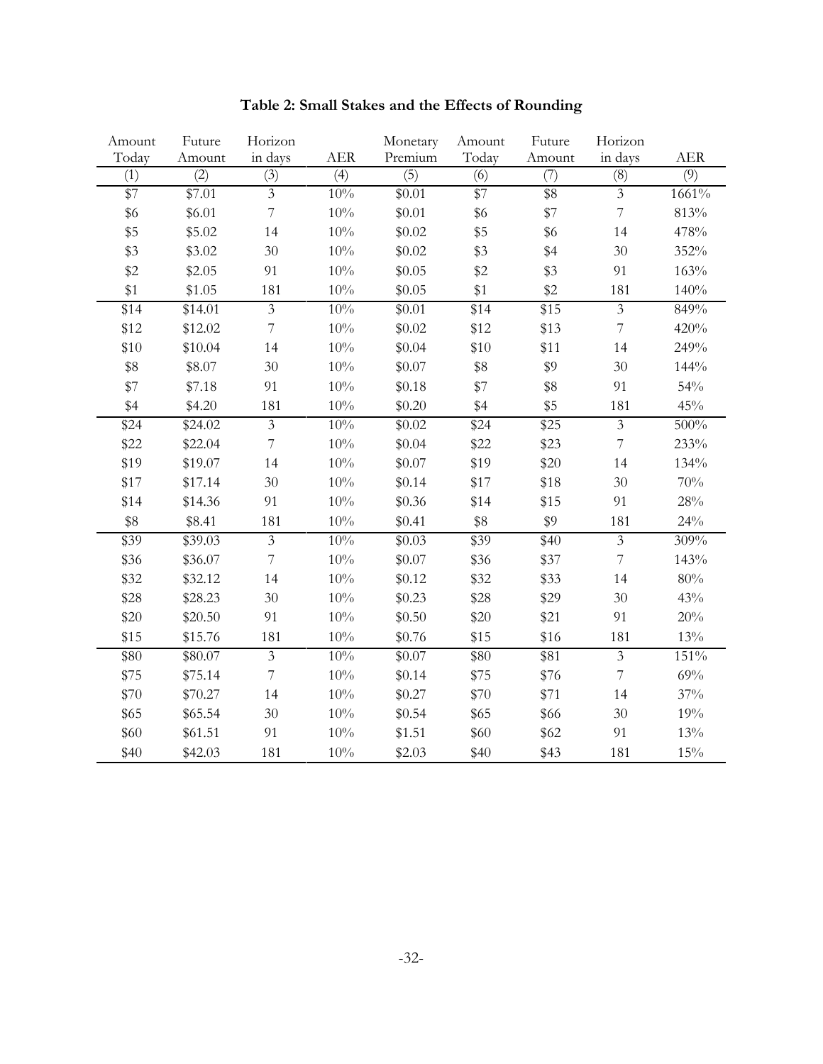| Amount           | Future              | Horizon                 |            | Monetary         | Amount       | Future           | Horizon                  |                  |
|------------------|---------------------|-------------------------|------------|------------------|--------------|------------------|--------------------------|------------------|
| Today            | Amount              | in days                 | <b>AER</b> | Premium          | Today        | Amount           | in days                  | <b>AER</b>       |
| $\overline{(1)}$ | (2)                 | (3)                     | (4)        | $\overline{(5)}$ | (6)          | (7)              | (8)                      | $\overline{(9)}$ |
| \$7              | \$7.01              | $\overline{3}$          | 10%        | \$0.01           | \$7          | \$8              | $\overline{3}$           | 1661%            |
| \$6              | \$6.01              | $\overline{7}$          | $10\%$     | \$0.01           | \$6          | \$7              | $\overline{7}$           | 813%             |
| \$5              | \$5.02              | 14                      | $10\%$     | \$0.02           | \$5          | \$6              | 14                       | 478%             |
| \$3              | \$3.02              | $30\,$                  | $10\%$     | \$0.02           | \$3          | \$4              | $30\,$                   | 352%             |
| \$2              | \$2.05              | 91                      | $10\%$     | \$0.05           | \$2          | \$3              | 91                       | 163%             |
| \$1              | \$1.05              | 181                     | $10\%$     | \$0.05           | \$1          | \$2              | 181                      | 140%             |
| \$14             | \$14.01             | $\overline{\mathbf{3}}$ | 10%        | \$0.01           | \$14         | \$15             | $\overline{\mathbf{3}}$  | 849%             |
| \$12             | \$12.02             | $\overline{7}$          | 10%        | \$0.02           | \$12         | \$13             | $\boldsymbol{7}$         | 420%             |
| \$10             | \$10.04             | 14                      | $10\%$     | \$0.04           | \$10         | \$11             | 14                       | 249%             |
| \$8              | \$8.07              | 30                      | $10\%$     | \$0.07           | \$8          | \$9              | 30                       | 144%             |
| \$7              | \$7.18              | 91                      | $10\%$     | \$0.18           | \$7          | \$8              | 91                       | 54%              |
| \$4              | \$4.20              | 181                     | $10\%$     | \$0.20           | \$4          | \$5              | 181                      | 45%              |
| \$24             | \$24.02             | $\overline{3}$          | 10%        | \$0.02           | \$24         | \$25             | $\overline{3}$           | 500%             |
| \$22             | \$22.04             | $\overline{7}$          | $10\%$     | \$0.04           | \$22         | \$23             | $\overline{\mathcal{I}}$ | 233%             |
| \$19             | \$19.07             | 14                      | 10%        | \$0.07           | \$19         | \$20             | 14                       | 134%             |
| \$17             | \$17.14             | 30                      | $10\%$     | \$0.14           | \$17         | \$18             | 30                       | 70%              |
| \$14             | \$14.36             | 91                      | $10\%$     | \$0.36           | \$14         | \$15             | 91                       | $28\%$           |
| \$8              | \$8.41              | 181                     | $10\%$     | \$0.41           | \$8          | \$9              | 181                      | 24%              |
| $\overline{$}39$ | $\overline{$39.03}$ | $\overline{\mathbf{3}}$ | 10%        | \$0.03           | $\sqrt{$39}$ | $\overline{$40}$ | $\overline{3}$           | 309%             |
| \$36             | \$36.07             | $\overline{7}$          | $10\%$     | \$0.07           | \$36         | \$37             | 7                        | 143%             |
| \$32             | \$32.12             | 14                      | $10\%$     | \$0.12           | \$32         | \$33             | 14                       | $80\%$           |
| \$28             | \$28.23             | 30                      | $10\%$     | \$0.23           | \$28         | \$29             | 30                       | 43%              |
| \$20             | \$20.50             | 91                      | $10\%$     | \$0.50           | \$20         | \$21             | 91                       | 20%              |
| \$15             | \$15.76             | 181                     | $10\%$     | \$0.76           | \$15         | \$16             | 181                      | 13%              |
| \$80             | \$80.07             | $\overline{3}$          | 10%        | \$0.07           | \$80         | \$81             | $\overline{3}$           | 151%             |
| \$75             | \$75.14             | $\overline{7}$          | $10\%$     | \$0.14           | \$75         | \$76             | $\boldsymbol{7}$         | $69\%$           |
| \$70             | \$70.27             | 14                      | $10\%$     | \$0.27           | \$70         | \$71             | 14                       | 37%              |
| \$65             | \$65.54             | $30\,$                  | $10\%$     | \$0.54           | \$65         | \$66             | $30\,$                   | 19%              |
| \$60             | \$61.51             | 91                      | $10\%$     | \$1.51           | \$60         | \$62             | 91                       | 13%              |
| \$40             | \$42.03             | 181                     | $10\%$     | \$2.03           | \$40         | \$43             | 181                      | 15%              |

| Table 2: Small Stakes and the Effects of Rounding |  |  |
|---------------------------------------------------|--|--|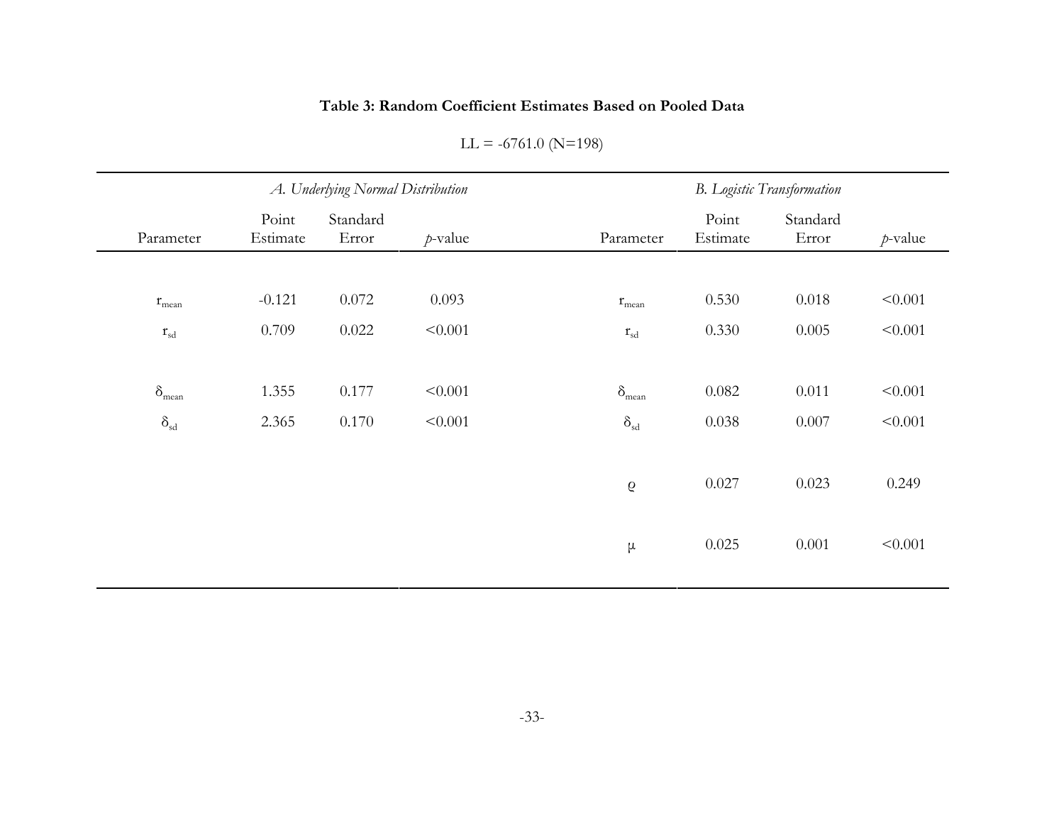#### **Table 3: Random Coefficient Estimates Based on Pooled Data**

| A. Underlying Normal Distribution |                   |                   |            | <b>B.</b> Logistic Transformation |                   |                   |            |
|-----------------------------------|-------------------|-------------------|------------|-----------------------------------|-------------------|-------------------|------------|
| Parameter                         | Point<br>Estimate | Standard<br>Error | $p$ -value | Parameter                         | Point<br>Estimate | Standard<br>Error | $p$ -value |
|                                   |                   |                   |            |                                   |                   |                   |            |
| $r_{\text{mean}}$                 | $-0.121$          | 0.072             | 0.093      | $r_{\text{mean}}$                 | 0.530             | 0.018             | < 0.001    |
| $\mathbf{r}_{\rm sd}$             | 0.709             | 0.022             | < 0.001    | $\mathbf{r}_{\text{sd}}$          | 0.330             | 0.005             | < 0.001    |
|                                   |                   |                   |            |                                   |                   |                   |            |
| $\delta_{\text{mean}}$            | 1.355             | 0.177             | < 0.001    | $\delta$ <sub>mean</sub>          | 0.082             | 0.011             | < 0.001    |
| $\delta_{\rm sd}$                 | 2.365             | 0.170             | < 0.001    | $\delta_{\rm sd}$                 | 0.038             | 0.007             | < 0.001    |
|                                   |                   |                   |            |                                   |                   |                   |            |
|                                   |                   |                   |            | $\mathbf Q$                       | 0.027             | 0.023             | 0.249      |
|                                   |                   |                   |            |                                   |                   |                   |            |
|                                   |                   |                   |            | $\mu$                             | 0.025             | 0.001             | < 0.001    |
|                                   |                   |                   |            |                                   |                   |                   |            |

 $LL = -6761.0$  (N=198)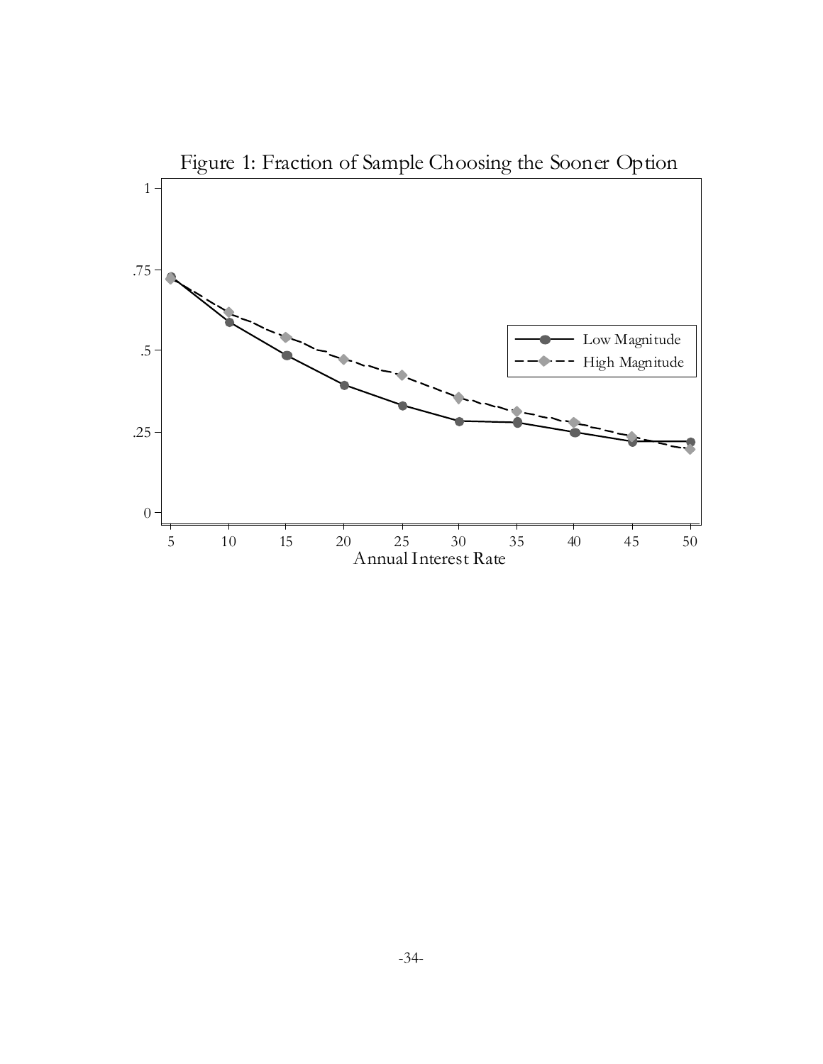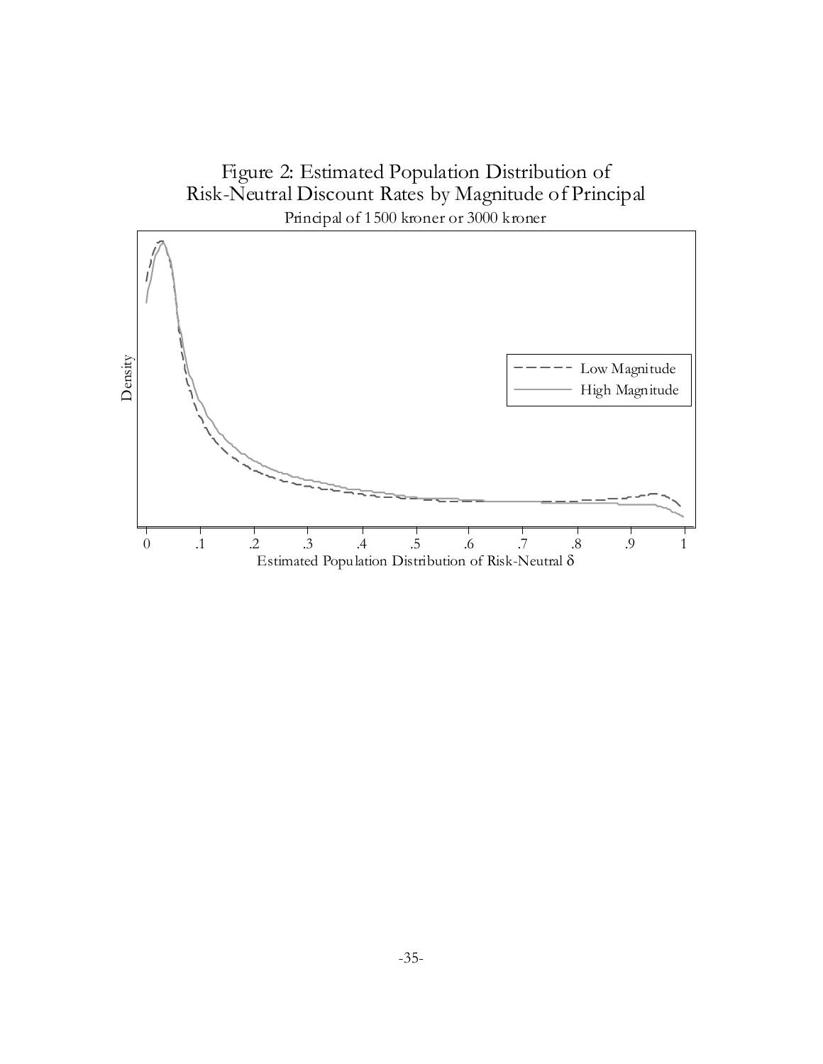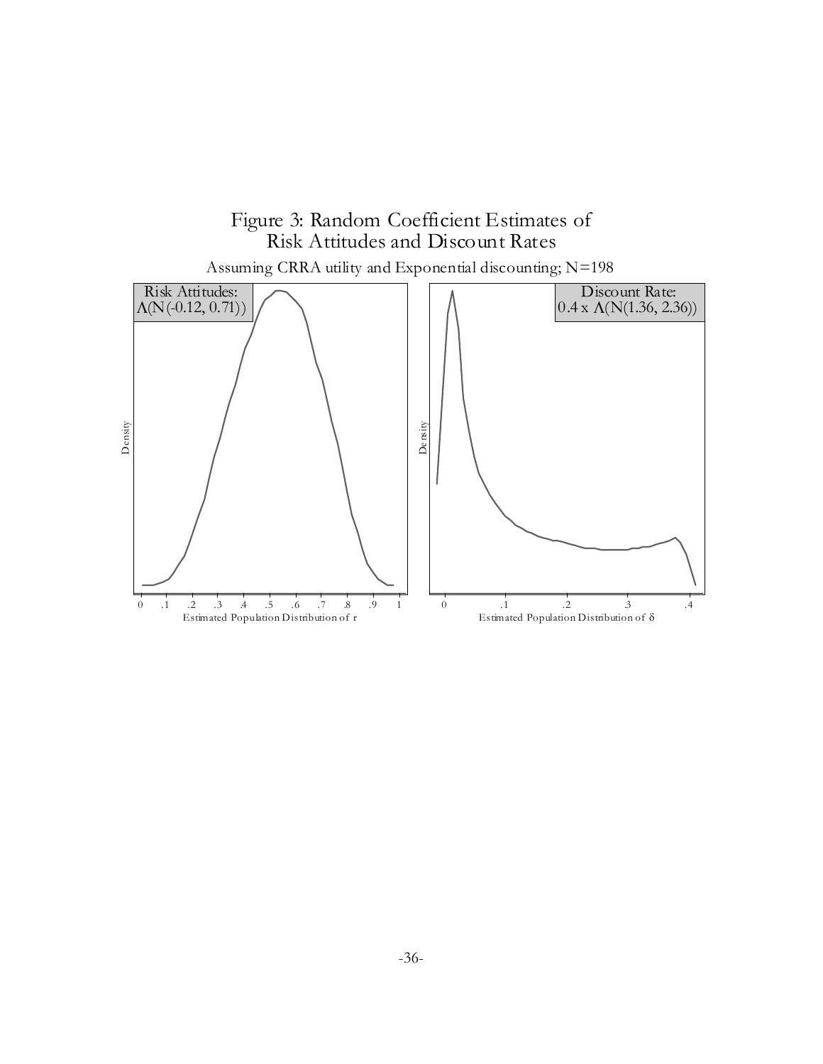

#### -36-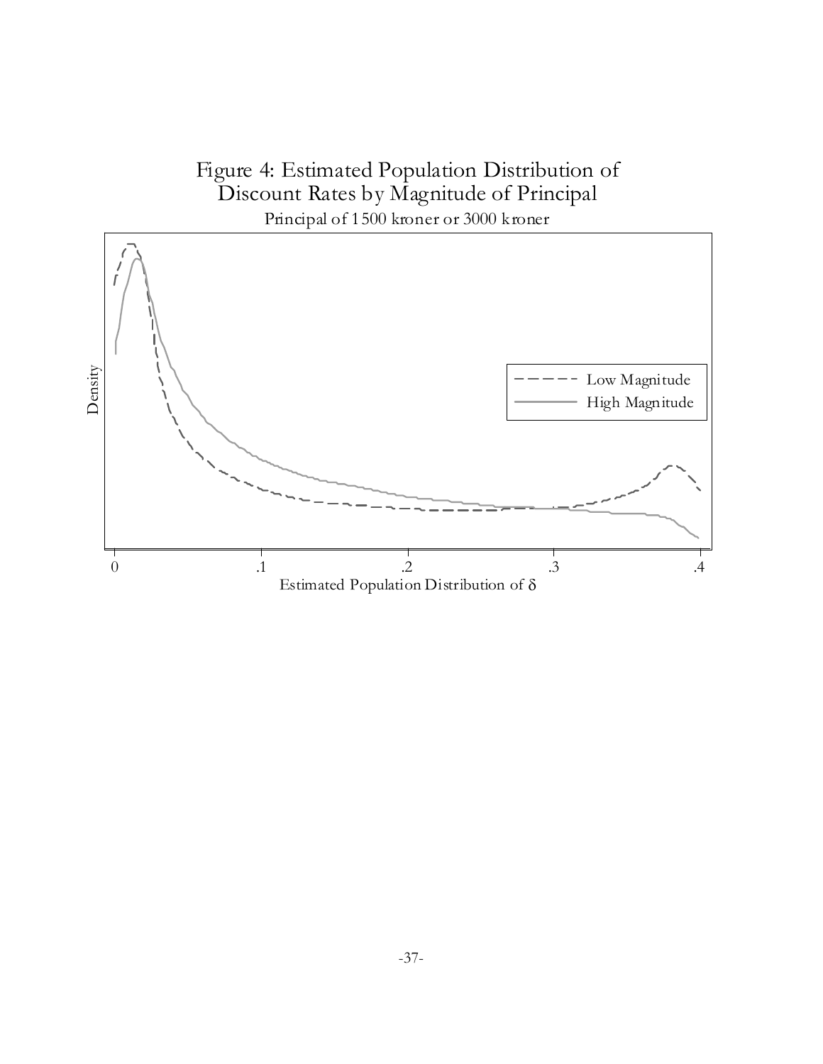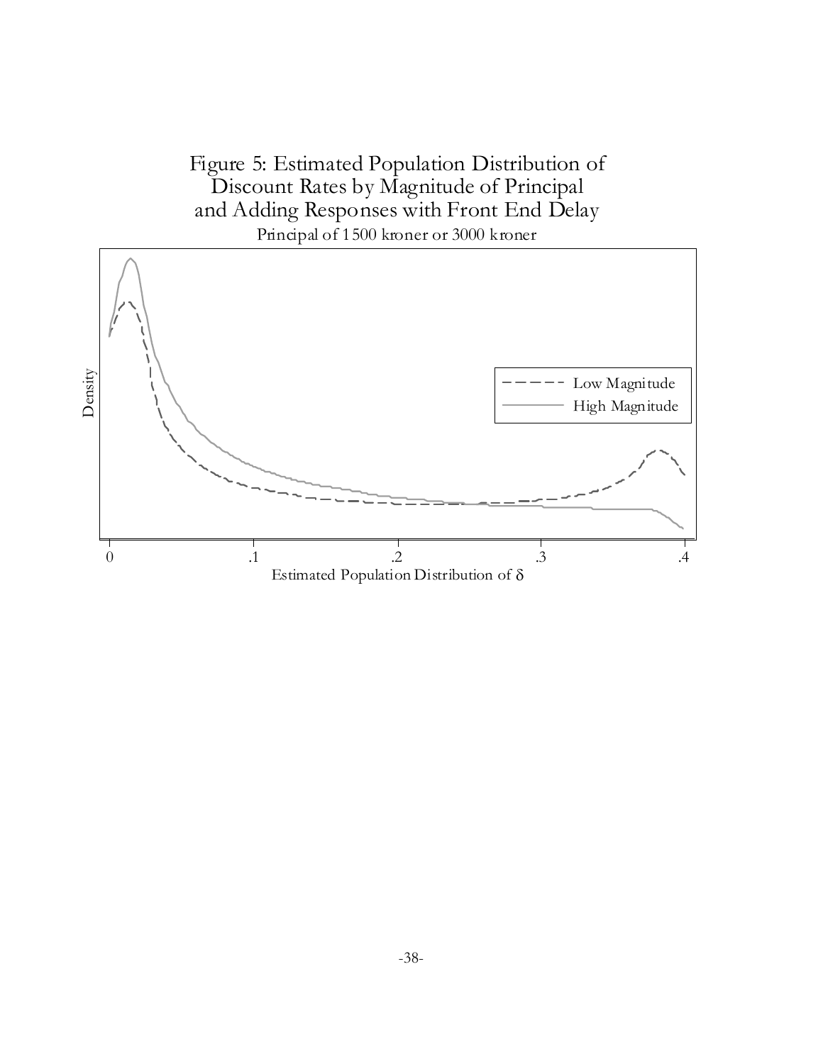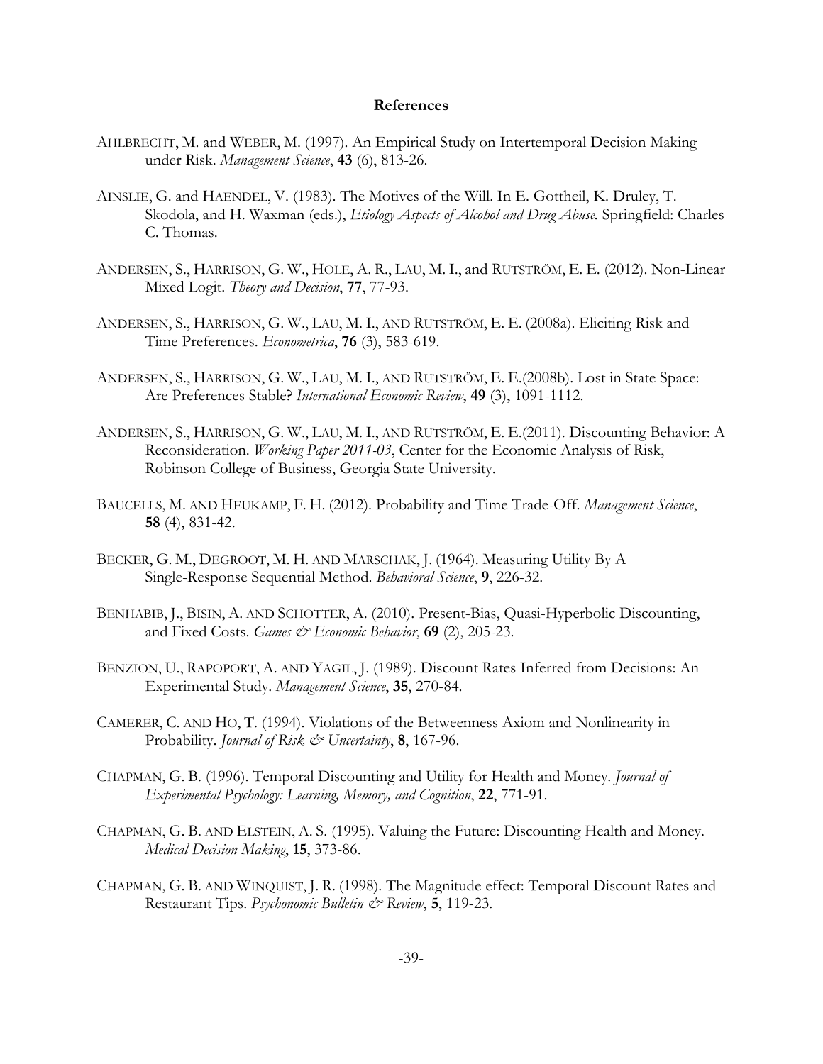#### **References**

- AHLBRECHT, M. and WEBER, M. (1997). An Empirical Study on Intertemporal Decision Making under Risk. *Management Science*, **43** (6), 813-26.
- AINSLIE, G. and HAENDEL, V. (1983). The Motives of the Will. In E. Gottheil, K. Druley, T. Skodola, and H. Waxman (eds.), *Etiology Aspects of Alcohol and Drug Abuse.* Springfield: Charles C. Thomas.
- ANDERSEN, S., HARRISON, G. W., HOLE, A. R., LAU, M. I., and RUTSTRÖM, E. E. (2012). Non-Linear Mixed Logit. *Theory and Decision*, **77**, 77-93.
- ANDERSEN, S., HARRISON, G. W., LAU, M. I., AND RUTSTRÖM, E. E. (2008a). Eliciting Risk and Time Preferences. *Econometrica*, **76** (3), 583-619.
- ANDERSEN, S., HARRISON, G. W., LAU, M. I., AND RUTSTRÖM, E. E.(2008b). Lost in State Space: Are Preferences Stable? *International Economic Review*, **49** (3), 1091-1112.
- ANDERSEN, S., HARRISON, G. W., LAU, M. I., AND RUTSTRÖM, E. E.(2011). Discounting Behavior: A Reconsideration. *Working Paper 2011-03*, Center for the Economic Analysis of Risk, Robinson College of Business, Georgia State University.
- BAUCELLS, M. AND HEUKAMP, F. H. (2012). Probability and Time Trade-Off. *Management Science*, **58** (4), 831-42.
- BECKER, G. M., DEGROOT, M. H. AND MARSCHAK, J. (1964). Measuring Utility By A Single-Response Sequential Method. *Behavioral Science*, **9**, 226-32.
- BENHABIB, J., BISIN, A. AND SCHOTTER, A. (2010). Present-Bias, Quasi-Hyperbolic Discounting, and Fixed Costs. *Games & Economic Behavior*, **69** (2), 205-23.
- BENZION, U., RAPOPORT, A. AND YAGIL, J. (1989). Discount Rates Inferred from Decisions: An Experimental Study. *Management Science*, **35**, 270-84.
- CAMERER, C. AND HO, T. (1994). Violations of the Betweenness Axiom and Nonlinearity in Probability. *Journal of Risk & Uncertainty*, 8, 167-96.
- CHAPMAN, G. B. (1996). Temporal Discounting and Utility for Health and Money. *Journal of Experimental Psychology: Learning, Memory, and Cognition*, **22**, 771-91.
- CHAPMAN, G. B. AND ELSTEIN, A. S. (1995). Valuing the Future: Discounting Health and Money. *Medical Decision Making*, **15**, 373-86.
- CHAPMAN, G. B. AND WINQUIST, J. R. (1998). The Magnitude effect: Temporal Discount Rates and Restaurant Tips. *Psychonomic Bulletin & Review*, **5**, 119-23.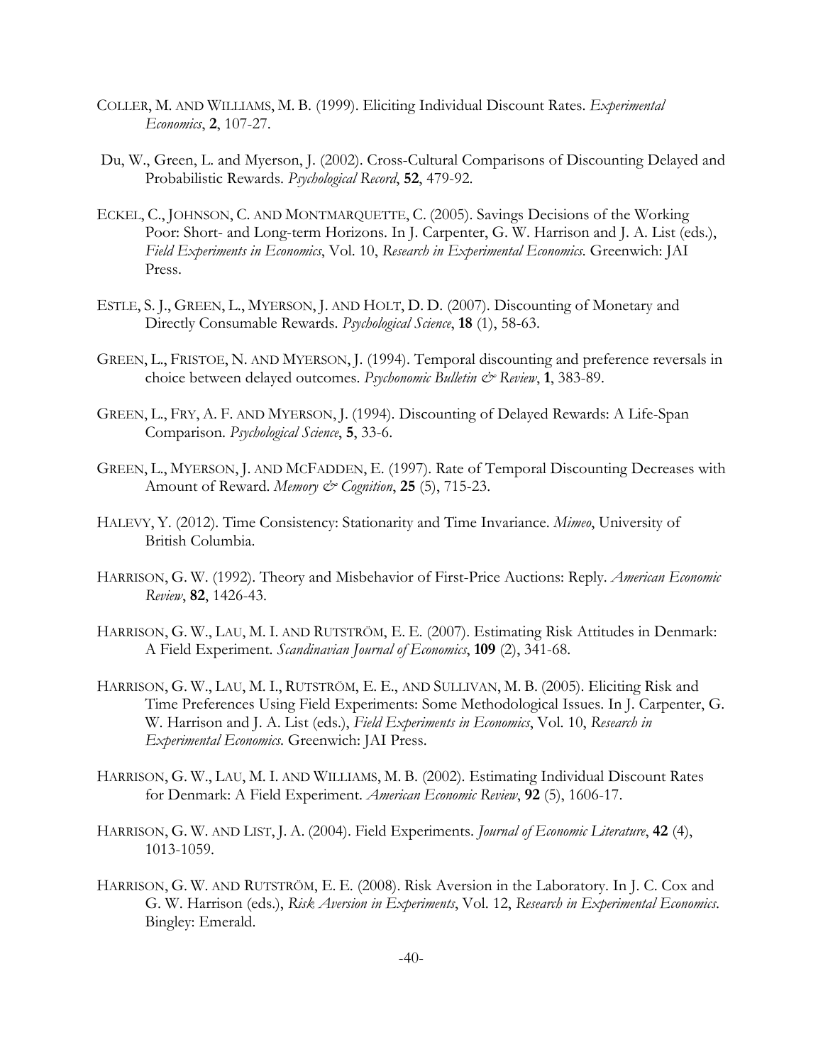- COLLER, M. AND WILLIAMS, M. B. (1999). Eliciting Individual Discount Rates. *Experimental Economics*, **2**, 107-27.
- Du, W., Green, L. and Myerson, J. (2002). Cross-Cultural Comparisons of Discounting Delayed and Probabilistic Rewards. *Psychological Record*, **52**, 479-92.
- ECKEL, C., JOHNSON, C. AND MONTMARQUETTE, C. (2005). Savings Decisions of the Working Poor: Short- and Long-term Horizons. In J. Carpenter, G. W. Harrison and J. A. List (eds.), *Field Experiments in Economics*, Vol. 10, *Research in Experimental Economics.* Greenwich: JAI Press.
- ESTLE, S. J., GREEN, L., MYERSON, J. AND HOLT, D. D. (2007). Discounting of Monetary and Directly Consumable Rewards. *Psychological Science*, **18** (1), 58-63.
- GREEN, L., FRISTOE, N. AND MYERSON, J. (1994). Temporal discounting and preference reversals in choice between delayed outcomes. *Psychonomic Bulletin & Review*, **1**, 383-89.
- GREEN, L., FRY, A. F. AND MYERSON, J. (1994). Discounting of Delayed Rewards: A Life-Span Comparison. *Psychological Science*, **5**, 33-6.
- GREEN, L., MYERSON, J. AND MCFADDEN, E. (1997). Rate of Temporal Discounting Decreases with Amount of Reward. *Memory & Cognition*, **25** (5), 715-23.
- HALEVY, Y. (2012). Time Consistency: Stationarity and Time Invariance. *Mimeo*, University of British Columbia.
- HARRISON, G. W. (1992). Theory and Misbehavior of First-Price Auctions: Reply. *American Economic Review*, **82**, 1426-43.
- HARRISON, G. W., LAU, M. I. AND RUTSTRÖM, E. E. (2007). Estimating Risk Attitudes in Denmark: A Field Experiment. *Scandinavian Journal of Economics*, **109** (2), 341-68.
- HARRISON, G. W., LAU, M. I., RUTSTRÖM, E. E., AND SULLIVAN, M. B. (2005). Eliciting Risk and Time Preferences Using Field Experiments: Some Methodological Issues. In J. Carpenter, G. W. Harrison and J. A. List (eds.), *Field Experiments in Economics*, Vol. 10, *Research in Experimental Economics*. Greenwich: JAI Press.
- HARRISON, G. W., LAU, M. I. AND WILLIAMS, M. B. (2002). Estimating Individual Discount Rates for Denmark: A Field Experiment. *American Economic Review*, **92** (5), 1606-17.
- HARRISON, G. W. AND LIST, J. A. (2004). Field Experiments. *Journal of Economic Literature*, **42** (4), 1013-1059.
- HARRISON, G. W. AND RUTSTRÖM, E. E. (2008). Risk Aversion in the Laboratory. In J. C. Cox and G. W. Harrison (eds.), *Risk Aversion in Experiments*, Vol. 12, *Research in Experimental Economics*. Bingley: Emerald.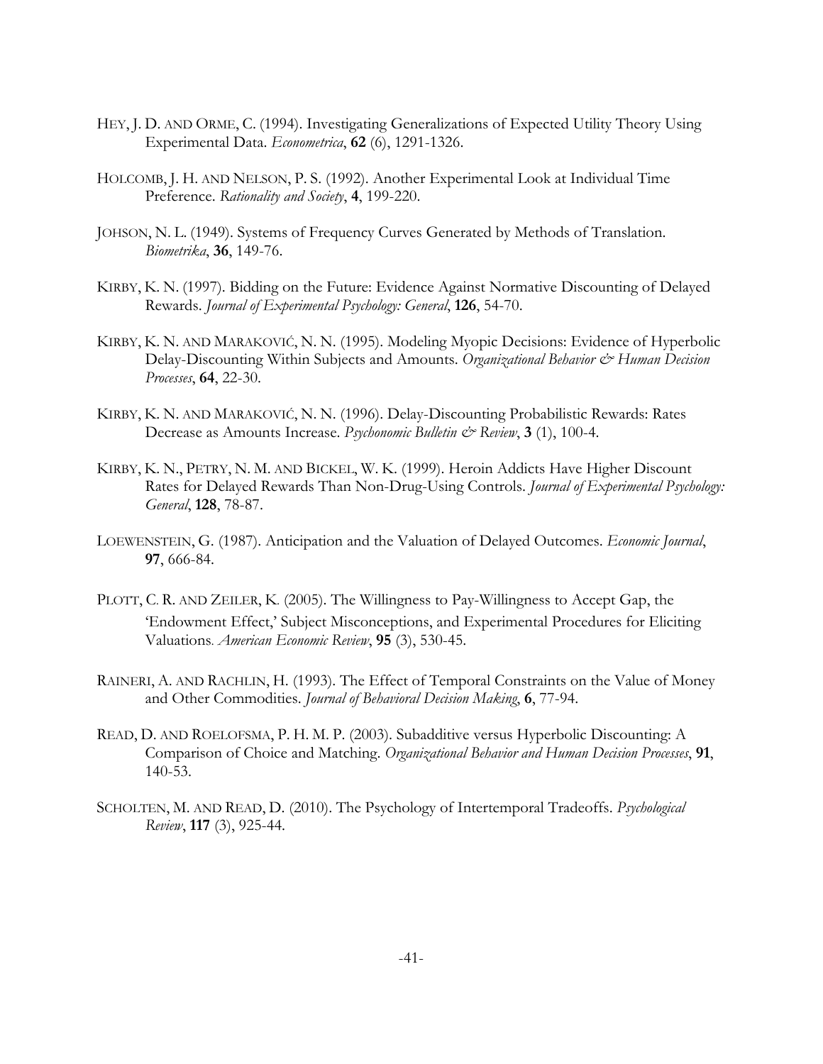- HEY, J. D. AND ORME, C. (1994). Investigating Generalizations of Expected Utility Theory Using Experimental Data. *Econometrica*, **62** (6), 1291-1326.
- HOLCOMB, J. H. AND NELSON, P. S. (1992). Another Experimental Look at Individual Time Preference. *Rationality and Society*, **4**, 199-220.
- JOHSON, N. L. (1949). Systems of Frequency Curves Generated by Methods of Translation. *Biometrika*, **36**, 149-76.
- KIRBY, K. N. (1997). Bidding on the Future: Evidence Against Normative Discounting of Delayed Rewards. *Journal of Experimental Psychology: General*, **126**, 54-70.
- KIRBY, K. N. AND MARAKOVIĆ, N. N. (1995). Modeling Myopic Decisions: Evidence of Hyperbolic Delay-Discounting Within Subjects and Amounts. *Organizational Behavior & Human Decision Processes*, **64**, 22-30.
- KIRBY, K. N. AND MARAKOVIĆ, N. N. (1996). Delay-Discounting Probabilistic Rewards: Rates Decrease as Amounts Increase. *Psychonomic Bulletin & Review*, **3** (1), 100-4.
- KIRBY, K. N., PETRY, N. M. AND BICKEL, W. K. (1999). Heroin Addicts Have Higher Discount Rates for Delayed Rewards Than Non-Drug-Using Controls. *Journal of Experimental Psychology: General*, **128**, 78-87.
- LOEWENSTEIN, G. (1987). Anticipation and the Valuation of Delayed Outcomes. *Economic Journal*, **97**, 666-84.
- PLOTT, C. R. AND ZEILER, K. (2005). The Willingness to Pay-Willingness to Accept Gap, the 'Endowment Effect,' Subject Misconceptions, and Experimental Procedures for Eliciting Valuations. *American Economic Review*, **95** (3), 530-45.
- RAINERI, A. AND RACHLIN, H. (1993). The Effect of Temporal Constraints on the Value of Money and Other Commodities. *Journal of Behavioral Decision Making*, **6**, 77-94.
- READ, D. AND ROELOFSMA, P. H. M. P. (2003). Subadditive versus Hyperbolic Discounting: A Comparison of Choice and Matching. *Organizational Behavior and Human Decision Processes*, **91**, 140-53.
- SCHOLTEN, M. AND READ, D. (2010). The Psychology of Intertemporal Tradeoffs. *Psychological Review*, **117** (3), 925-44.